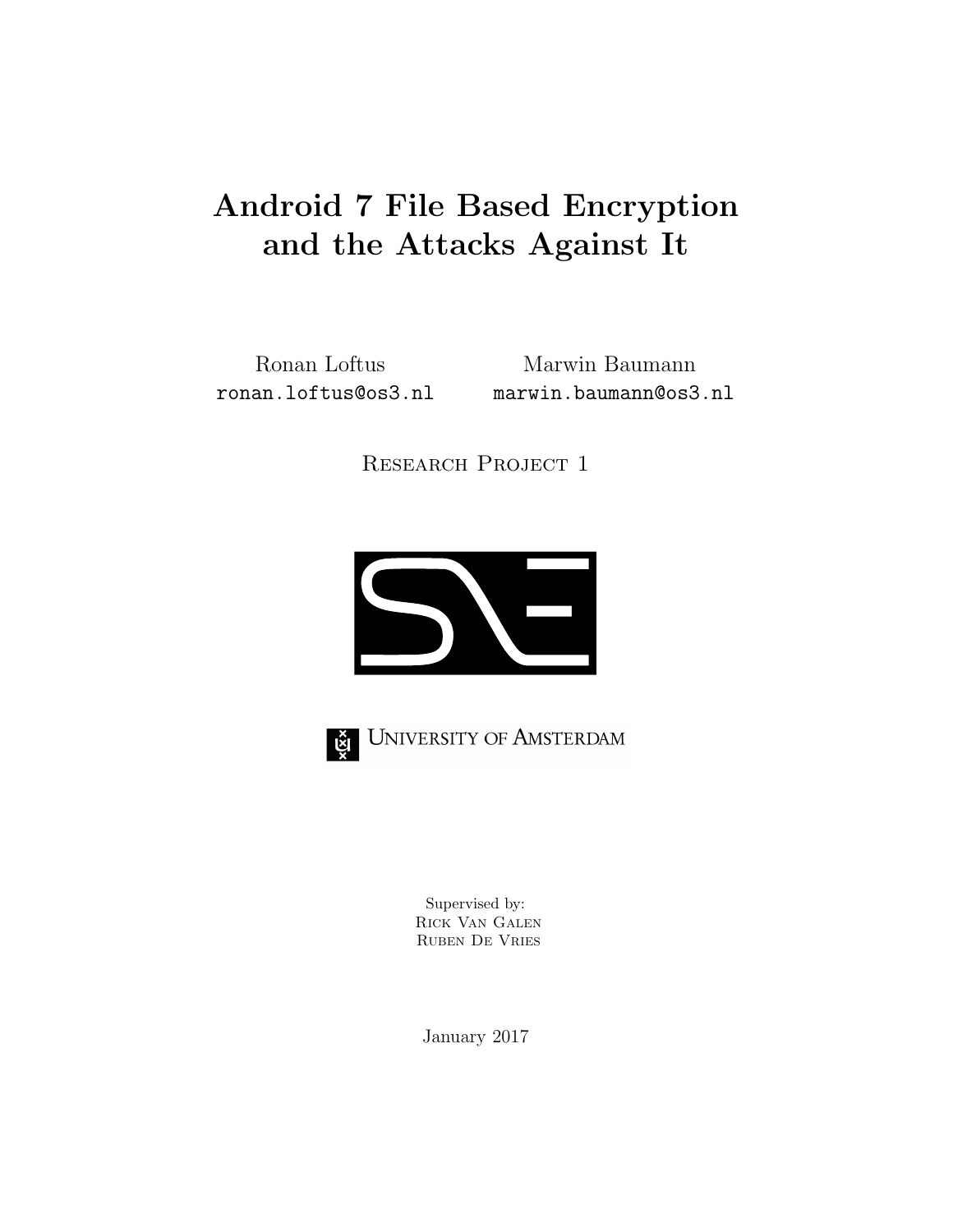# Android 7 File Based Encryption and the Attacks Against It

Ronan Loftus Marwin Baumann ronan.loftus@os3.nl marwin.baumann@os3.nl

RESEARCH PROJECT 1





UNIVERSITY OF AMSTERDAM

Supervised by: Rick Van Galen Ruben De Vries

January 2017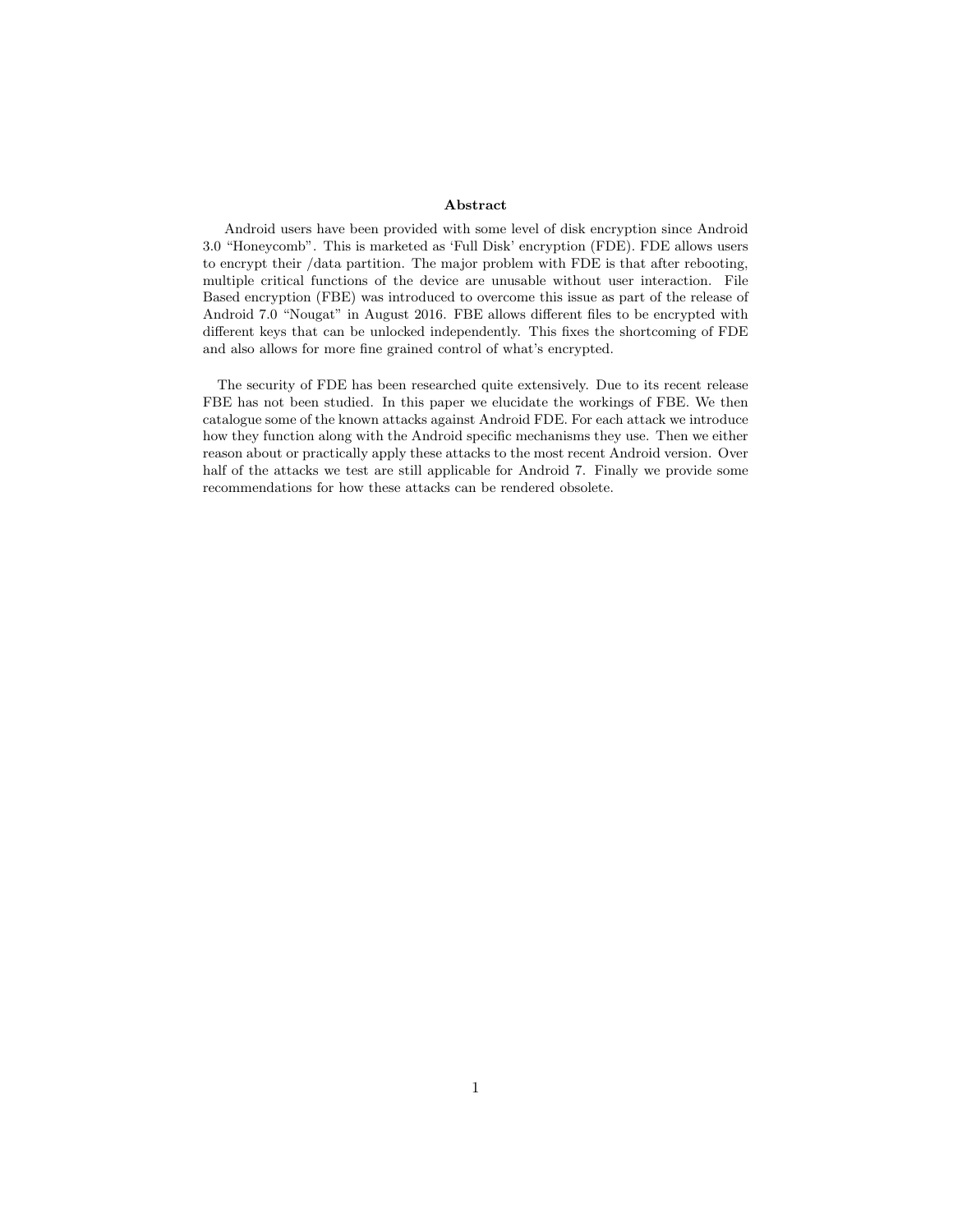#### Abstract

Android users have been provided with some level of disk encryption since Android 3.0 "Honeycomb". This is marketed as 'Full Disk' encryption (FDE). FDE allows users to encrypt their /data partition. The major problem with FDE is that after rebooting, multiple critical functions of the device are unusable without user interaction. File Based encryption (FBE) was introduced to overcome this issue as part of the release of Android 7.0 "Nougat" in August 2016. FBE allows different files to be encrypted with different keys that can be unlocked independently. This fixes the shortcoming of FDE and also allows for more fine grained control of what's encrypted.

The security of FDE has been researched quite extensively. Due to its recent release FBE has not been studied. In this paper we elucidate the workings of FBE. We then catalogue some of the known attacks against Android FDE. For each attack we introduce how they function along with the Android specific mechanisms they use. Then we either reason about or practically apply these attacks to the most recent Android version. Over half of the attacks we test are still applicable for Android 7. Finally we provide some recommendations for how these attacks can be rendered obsolete.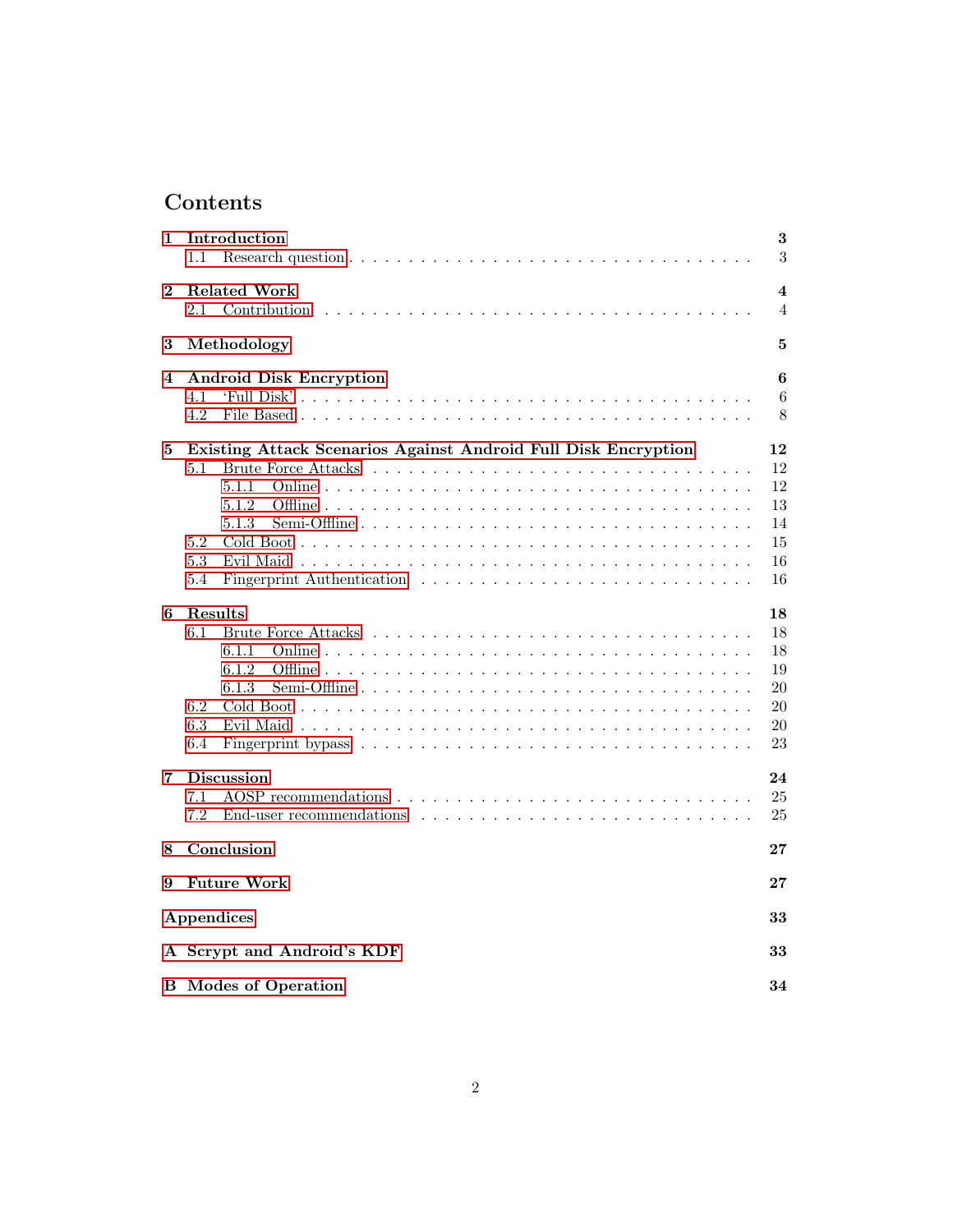# Contents

| 1          | Introduction                                                                                                          | 3                       |
|------------|-----------------------------------------------------------------------------------------------------------------------|-------------------------|
|            | $1.1\,$                                                                                                               | $\sqrt{3}$              |
| $\bf{2}$   | <b>Related Work</b>                                                                                                   | $\overline{\mathbf{4}}$ |
|            | 2.1<br>Contribution                                                                                                   | $\overline{4}$          |
| 3          | Methodology                                                                                                           | 5                       |
| 4          | <b>Android Disk Encryption</b>                                                                                        | 6                       |
|            | 4.1                                                                                                                   | 6                       |
|            | 4.2                                                                                                                   | 8                       |
| 5          | Existing Attack Scenarios Against Android Full Disk Encryption                                                        | 12                      |
|            | 5.1                                                                                                                   | 12                      |
|            | 5.1.1                                                                                                                 | 12                      |
|            | 5.1.2                                                                                                                 | 13                      |
|            | 5.1.3                                                                                                                 | 14                      |
|            | 5.2                                                                                                                   | 15                      |
|            | 5.3                                                                                                                   | 16                      |
|            | 5.4                                                                                                                   | 16                      |
| 6          | Results                                                                                                               | 18                      |
|            | 6.1                                                                                                                   | 18                      |
|            | 6.1.1                                                                                                                 | 18                      |
|            | 6.1.2                                                                                                                 | 19                      |
|            | 6.1.3                                                                                                                 | 20                      |
|            |                                                                                                                       |                         |
|            | 6.2                                                                                                                   | 20                      |
|            | 6.3                                                                                                                   | 20                      |
|            | 6.4<br>Fingerprint bypass $\ldots \ldots \ldots \ldots \ldots \ldots \ldots \ldots \ldots \ldots \ldots \ldots$       | 23                      |
| 7          | <b>Discussion</b>                                                                                                     | 24                      |
|            | 7.1                                                                                                                   | 25                      |
|            | 7.2<br>End-user recommendations $\ldots$ , $\ldots$ , $\ldots$ , $\ldots$ , $\ldots$ , $\ldots$ , $\ldots$ , $\ldots$ | 25                      |
| 8          | Conclusion                                                                                                            | $\bf{27}$               |
| 9          | <b>Future Work</b>                                                                                                    | $\bf{27}$               |
| Appendices |                                                                                                                       | 33                      |
|            | A Scrypt and Android's KDF                                                                                            | 33                      |
|            | <b>B</b> Modes of Operation                                                                                           | 34                      |
|            |                                                                                                                       |                         |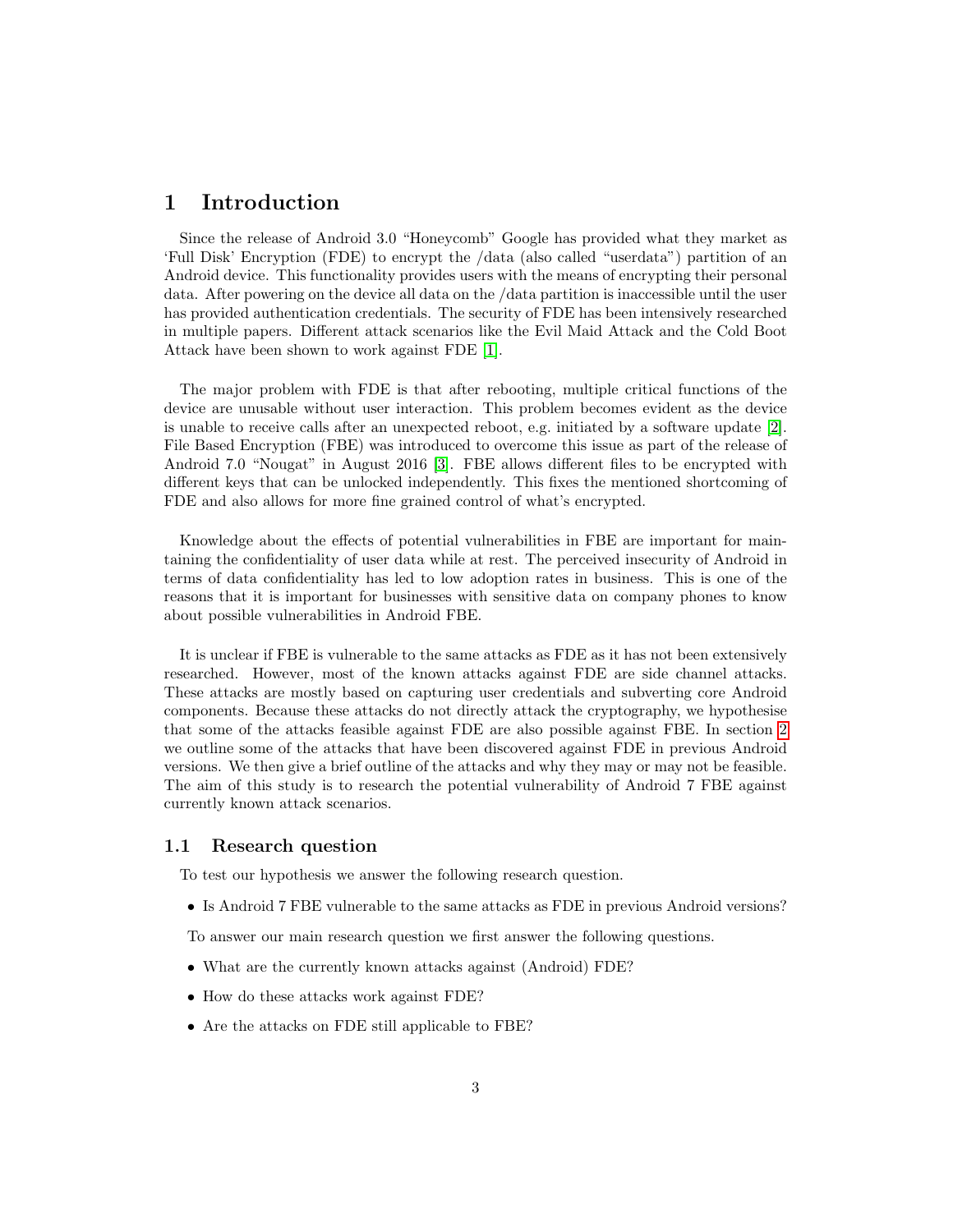## <span id="page-3-0"></span>1 Introduction

Since the release of Android 3.0 "Honeycomb" Google has provided what they market as 'Full Disk' Encryption (FDE) to encrypt the /data (also called "userdata") partition of an Android device. This functionality provides users with the means of encrypting their personal data. After powering on the device all data on the /data partition is inaccessible until the user has provided authentication credentials. The security of FDE has been intensively researched in multiple papers. Different attack scenarios like the Evil Maid Attack and the Cold Boot Attack have been shown to work against FDE [\[1\]](#page-28-0).

The major problem with FDE is that after rebooting, multiple critical functions of the device are unusable without user interaction. This problem becomes evident as the device is unable to receive calls after an unexpected reboot, e.g. initiated by a software update [\[2\]](#page-28-1). File Based Encryption (FBE) was introduced to overcome this issue as part of the release of Android 7.0 "Nougat" in August 2016 [\[3\]](#page-28-2). FBE allows different files to be encrypted with different keys that can be unlocked independently. This fixes the mentioned shortcoming of FDE and also allows for more fine grained control of what's encrypted.

Knowledge about the effects of potential vulnerabilities in FBE are important for maintaining the confidentiality of user data while at rest. The perceived insecurity of Android in terms of data confidentiality has led to low adoption rates in business. This is one of the reasons that it is important for businesses with sensitive data on company phones to know about possible vulnerabilities in Android FBE.

It is unclear if FBE is vulnerable to the same attacks as FDE as it has not been extensively researched. However, most of the known attacks against FDE are side channel attacks. These attacks are mostly based on capturing user credentials and subverting core Android components. Because these attacks do not directly attack the cryptography, we hypothesise that some of the attacks feasible against FDE are also possible against FBE. In section [2](#page-4-0) we outline some of the attacks that have been discovered against FDE in previous Android versions. We then give a brief outline of the attacks and why they may or may not be feasible. The aim of this study is to research the potential vulnerability of Android 7 FBE against currently known attack scenarios.

#### <span id="page-3-1"></span>1.1 Research question

To test our hypothesis we answer the following research question.

• Is Android 7 FBE vulnerable to the same attacks as FDE in previous Android versions?

To answer our main research question we first answer the following questions.

- What are the currently known attacks against (Android) FDE?
- How do these attacks work against FDE?
- Are the attacks on FDE still applicable to FBE?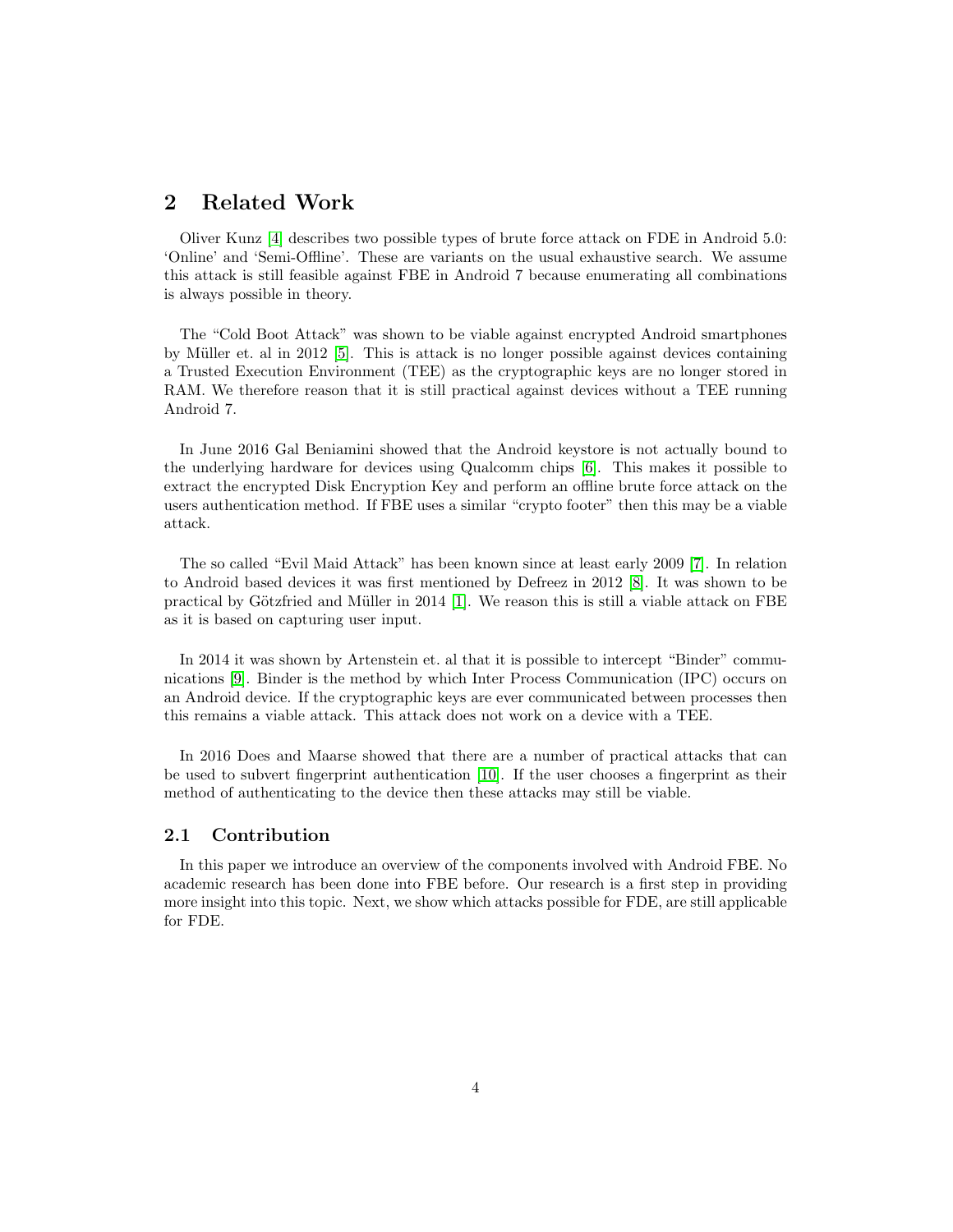## <span id="page-4-0"></span>2 Related Work

Oliver Kunz [\[4\]](#page-28-3) describes two possible types of brute force attack on FDE in Android 5.0: 'Online' and 'Semi-Offline'. These are variants on the usual exhaustive search. We assume this attack is still feasible against FBE in Android 7 because enumerating all combinations is always possible in theory.

The "Cold Boot Attack" was shown to be viable against encrypted Android smartphones by M¨uller et. al in 2012 [\[5\]](#page-28-4). This is attack is no longer possible against devices containing a Trusted Execution Environment (TEE) as the cryptographic keys are no longer stored in RAM. We therefore reason that it is still practical against devices without a TEE running Android 7.

In June 2016 Gal Beniamini showed that the Android keystore is not actually bound to the underlying hardware for devices using Qualcomm chips [\[6\]](#page-28-5). This makes it possible to extract the encrypted Disk Encryption Key and perform an offline brute force attack on the users authentication method. If FBE uses a similar "crypto footer" then this may be a viable attack.

The so called "Evil Maid Attack" has been known since at least early 2009 [\[7\]](#page-28-6). In relation to Android based devices it was first mentioned by Defreez in 2012 [\[8\]](#page-28-7). It was shown to be practical by Götzfried and Müller in 2014 [\[1\]](#page-28-0). We reason this is still a viable attack on FBE as it is based on capturing user input.

In 2014 it was shown by Artenstein et. al that it is possible to intercept "Binder" communications [\[9\]](#page-28-8). Binder is the method by which Inter Process Communication (IPC) occurs on an Android device. If the cryptographic keys are ever communicated between processes then this remains a viable attack. This attack does not work on a device with a TEE.

In 2016 Does and Maarse showed that there are a number of practical attacks that can be used to subvert fingerprint authentication [\[10\]](#page-28-9). If the user chooses a fingerprint as their method of authenticating to the device then these attacks may still be viable.

#### <span id="page-4-1"></span>2.1 Contribution

In this paper we introduce an overview of the components involved with Android FBE. No academic research has been done into FBE before. Our research is a first step in providing more insight into this topic. Next, we show which attacks possible for FDE, are still applicable for FDE.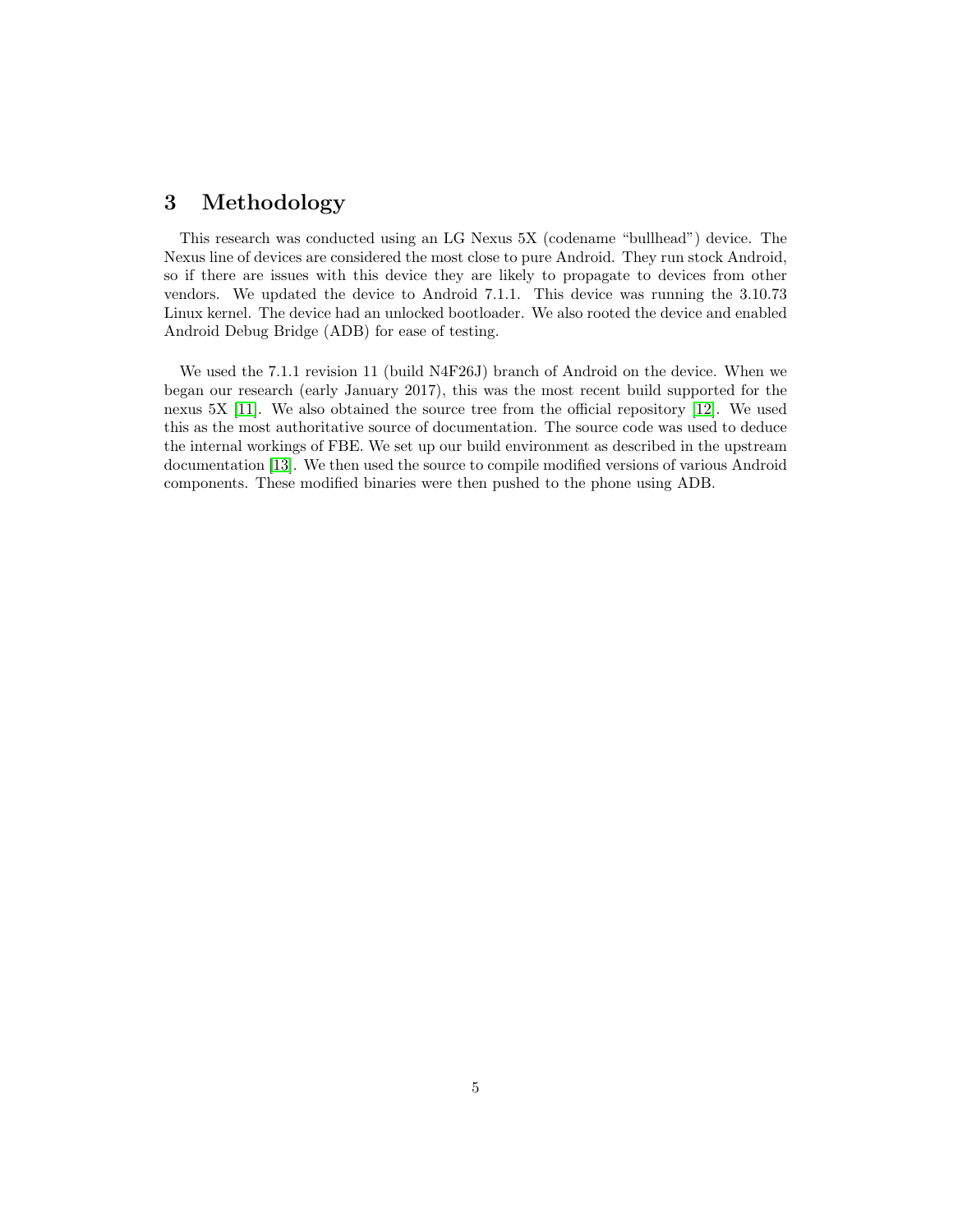## <span id="page-5-0"></span>3 Methodology

This research was conducted using an LG Nexus 5X (codename "bullhead") device. The Nexus line of devices are considered the most close to pure Android. They run stock Android, so if there are issues with this device they are likely to propagate to devices from other vendors. We updated the device to Android 7.1.1. This device was running the 3.10.73 Linux kernel. The device had an unlocked bootloader. We also rooted the device and enabled Android Debug Bridge (ADB) for ease of testing.

We used the 7.1.1 revision 11 (build N4F26J) branch of Android on the device. When we began our research (early January 2017), this was the most recent build supported for the nexus 5X [\[11\]](#page-28-10). We also obtained the source tree from the official repository [\[12\]](#page-28-11). We used this as the most authoritative source of documentation. The source code was used to deduce the internal workings of FBE. We set up our build environment as described in the upstream documentation [\[13\]](#page-29-0). We then used the source to compile modified versions of various Android components. These modified binaries were then pushed to the phone using ADB.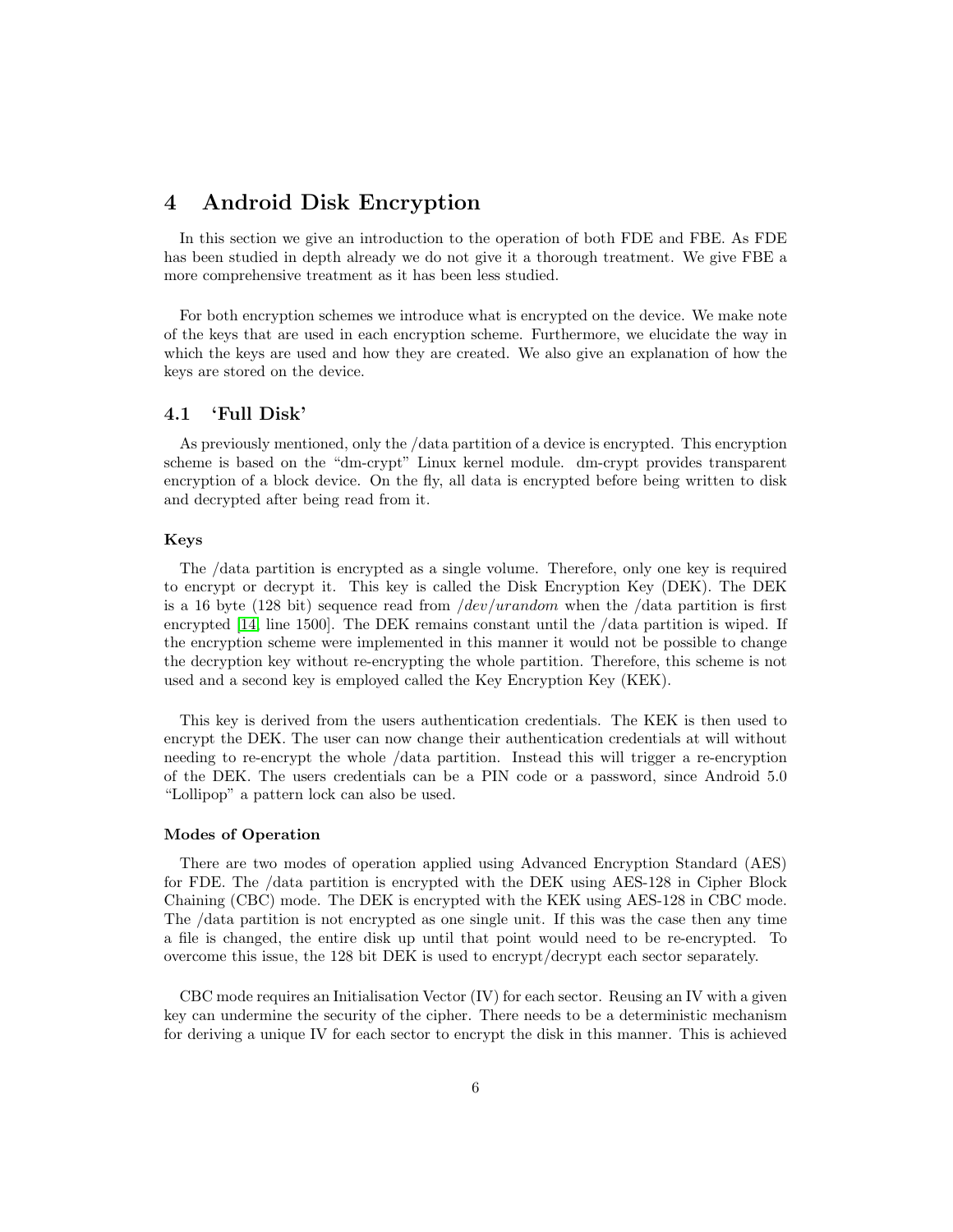## <span id="page-6-0"></span>4 Android Disk Encryption

In this section we give an introduction to the operation of both FDE and FBE. As FDE has been studied in depth already we do not give it a thorough treatment. We give FBE a more comprehensive treatment as it has been less studied.

For both encryption schemes we introduce what is encrypted on the device. We make note of the keys that are used in each encryption scheme. Furthermore, we elucidate the way in which the keys are used and how they are created. We also give an explanation of how the keys are stored on the device.

#### <span id="page-6-1"></span>4.1 'Full Disk'

As previously mentioned, only the /data partition of a device is encrypted. This encryption scheme is based on the "dm-crypt" Linux kernel module. dm-crypt provides transparent encryption of a block device. On the fly, all data is encrypted before being written to disk and decrypted after being read from it.

#### Keys

The /data partition is encrypted as a single volume. Therefore, only one key is required to encrypt or decrypt it. This key is called the Disk Encryption Key (DEK). The DEK is a 16 byte (128 bit) sequence read from  $/dev/urandom$  when the  $/data$  partition is first encrypted [\[14,](#page-29-1) line 1500]. The DEK remains constant until the /data partition is wiped. If the encryption scheme were implemented in this manner it would not be possible to change the decryption key without re-encrypting the whole partition. Therefore, this scheme is not used and a second key is employed called the Key Encryption Key (KEK).

This key is derived from the users authentication credentials. The KEK is then used to encrypt the DEK. The user can now change their authentication credentials at will without needing to re-encrypt the whole /data partition. Instead this will trigger a re-encryption of the DEK. The users credentials can be a PIN code or a password, since Android 5.0 "Lollipop" a pattern lock can also be used.

#### Modes of Operation

There are two modes of operation applied using Advanced Encryption Standard (AES) for FDE. The /data partition is encrypted with the DEK using AES-128 in Cipher Block Chaining (CBC) mode. The DEK is encrypted with the KEK using AES-128 in CBC mode. The /data partition is not encrypted as one single unit. If this was the case then any time a file is changed, the entire disk up until that point would need to be re-encrypted. To overcome this issue, the 128 bit DEK is used to encrypt/decrypt each sector separately.

CBC mode requires an Initialisation Vector (IV) for each sector. Reusing an IV with a given key can undermine the security of the cipher. There needs to be a deterministic mechanism for deriving a unique IV for each sector to encrypt the disk in this manner. This is achieved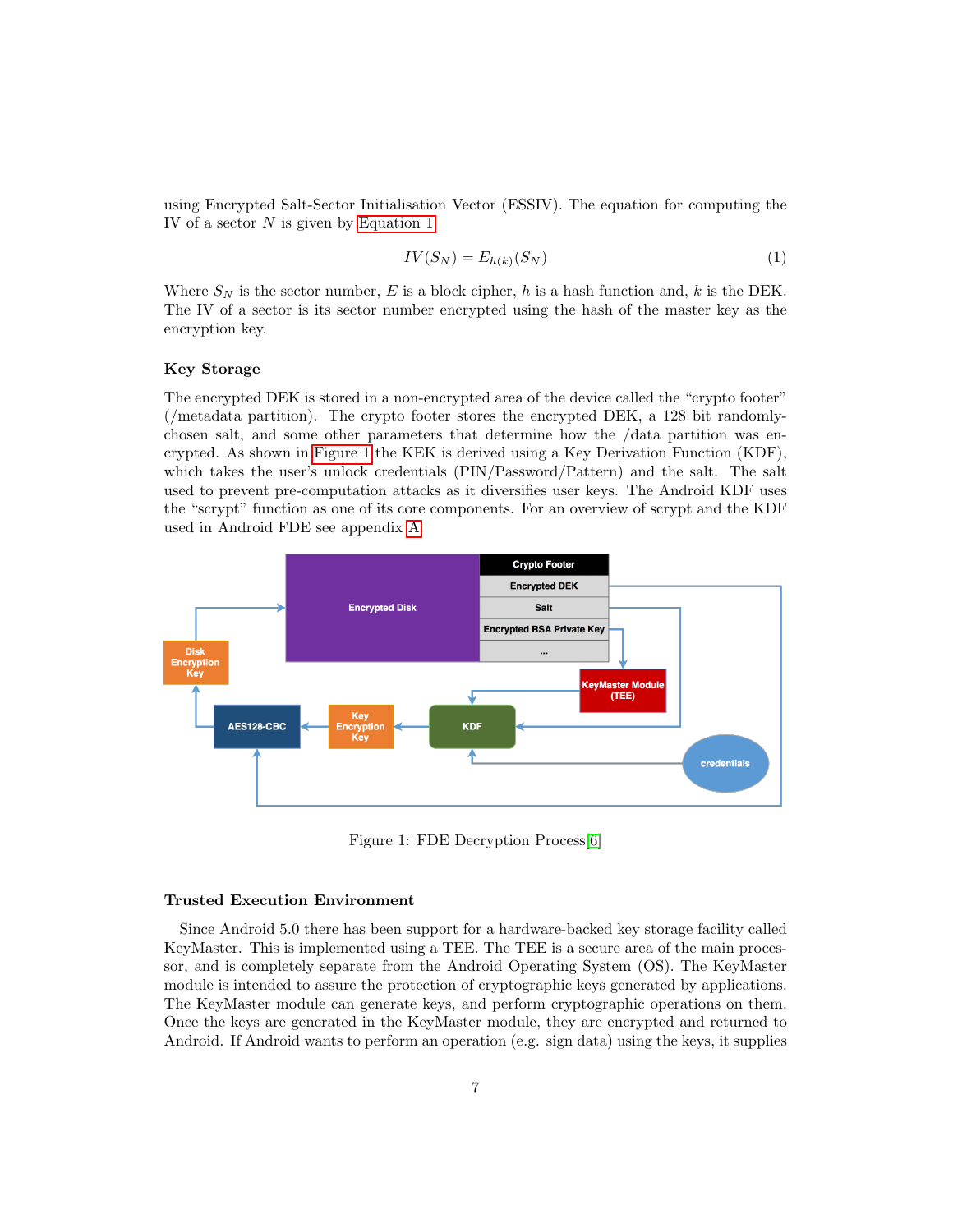using Encrypted Salt-Sector Initialisation Vector (ESSIV). The equation for computing the IV of a sector N is given by [Equation 1.](#page-7-0)

<span id="page-7-0"></span>
$$
IV(S_N) = E_{h(k)}(S_N)
$$
\n<sup>(1)</sup>

Where  $S_N$  is the sector number, E is a block cipher, h is a hash function and, k is the DEK. The IV of a sector is its sector number encrypted using the hash of the master key as the encryption key.

#### Key Storage

The encrypted DEK is stored in a non-encrypted area of the device called the "crypto footer" (/metadata partition). The crypto footer stores the encrypted DEK, a 128 bit randomlychosen salt, and some other parameters that determine how the /data partition was encrypted. As shown in [Figure 1](#page-7-1) the KEK is derived using a Key Derivation Function (KDF), which takes the user's unlock credentials (PIN/Password/Pattern) and the salt. The salt used to prevent pre-computation attacks as it diversifies user keys. The Android KDF uses the "scrypt" function as one of its core components. For an overview of scrypt and the KDF used in Android FDE see appendix [A.](#page-33-1)



<span id="page-7-1"></span>Figure 1: FDE Decryption Process[\[6\]](#page-28-5)

#### Trusted Execution Environment

Since Android 5.0 there has been support for a hardware-backed key storage facility called KeyMaster. This is implemented using a TEE. The TEE is a secure area of the main processor, and is completely separate from the Android Operating System (OS). The KeyMaster module is intended to assure the protection of cryptographic keys generated by applications. The KeyMaster module can generate keys, and perform cryptographic operations on them. Once the keys are generated in the KeyMaster module, they are encrypted and returned to Android. If Android wants to perform an operation (e.g. sign data) using the keys, it supplies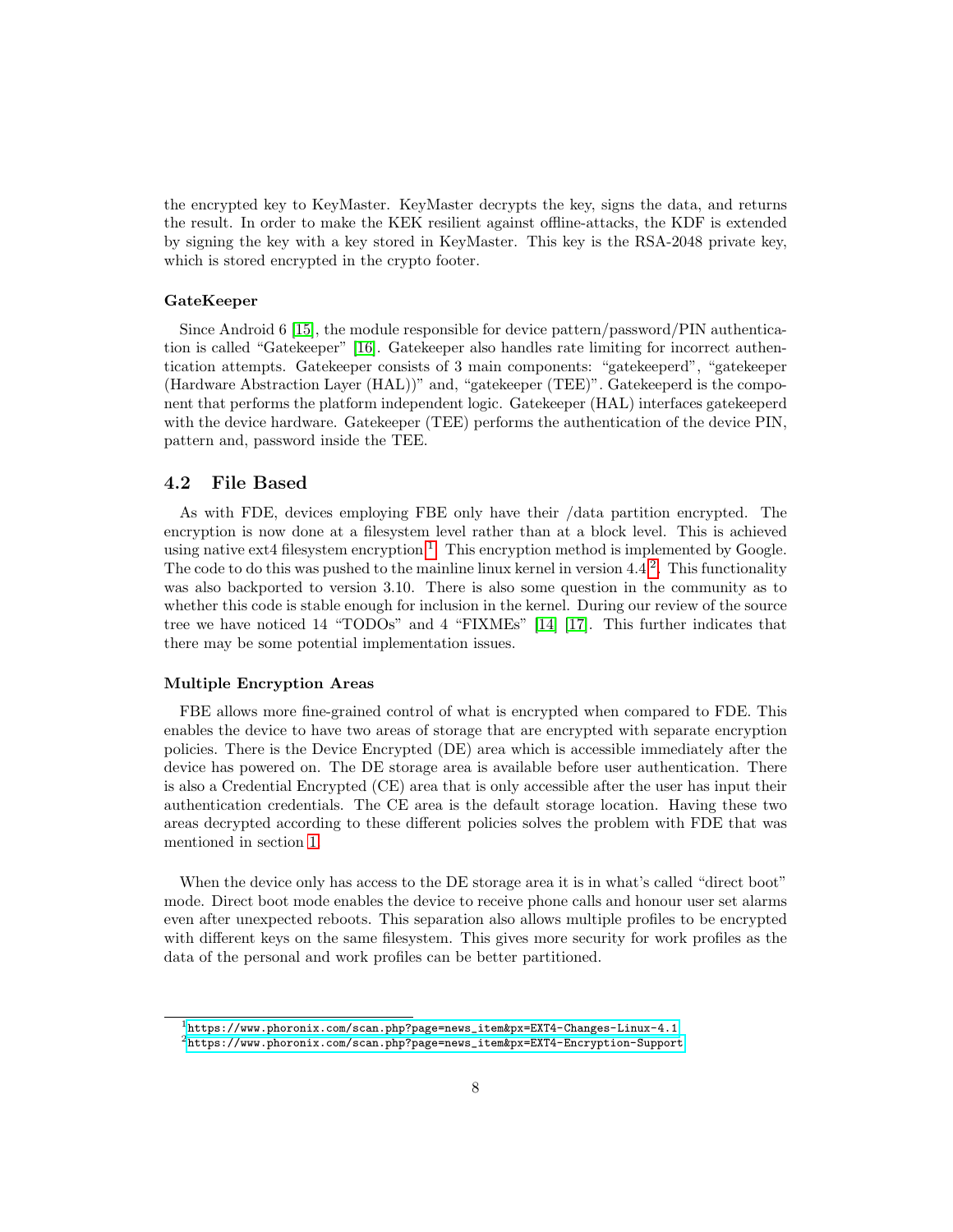the encrypted key to KeyMaster. KeyMaster decrypts the key, signs the data, and returns the result. In order to make the KEK resilient against offline-attacks, the KDF is extended by signing the key with a key stored in KeyMaster. This key is the RSA-2048 private key, which is stored encrypted in the crypto footer.

#### GateKeeper

Since Android 6 [\[15\]](#page-29-2), the module responsible for device pattern/password/PIN authentication is called "Gatekeeper" [\[16\]](#page-29-3). Gatekeeper also handles rate limiting for incorrect authentication attempts. Gatekeeper consists of 3 main components: "gatekeeperd", "gatekeeper (Hardware Abstraction Layer (HAL))" and, "gatekeeper (TEE)". Gatekeeperd is the component that performs the platform independent logic. Gatekeeper (HAL) interfaces gatekeeperd with the device hardware. Gatekeeper (TEE) performs the authentication of the device PIN, pattern and, password inside the TEE.

#### <span id="page-8-0"></span>4.2 File Based

As with FDE, devices employing FBE only have their /data partition encrypted. The encryption is now done at a filesystem level rather than at a block level. This is achieved using native ext4 filesystem encryption<sup>[1](#page-8-1)</sup>. This encryption method is implemented by Google. The code to do this was pushed to the mainline linux kernel in version 4.4 <sup>[2](#page-8-2)</sup>. This functionality was also backported to version 3.10. There is also some question in the community as to whether this code is stable enough for inclusion in the kernel. During our review of the source tree we have noticed 14 "TODOs" and 4 "FIXMEs" [\[14\]](#page-29-1) [\[17\]](#page-29-4). This further indicates that there may be some potential implementation issues.

#### Multiple Encryption Areas

FBE allows more fine-grained control of what is encrypted when compared to FDE. This enables the device to have two areas of storage that are encrypted with separate encryption policies. There is the Device Encrypted (DE) area which is accessible immediately after the device has powered on. The DE storage area is available before user authentication. There is also a Credential Encrypted (CE) area that is only accessible after the user has input their authentication credentials. The CE area is the default storage location. Having these two areas decrypted according to these different policies solves the problem with FDE that was mentioned in section [1.](#page-3-0)

When the device only has access to the DE storage area it is in what's called "direct boot" mode. Direct boot mode enables the device to receive phone calls and honour user set alarms even after unexpected reboots. This separation also allows multiple profiles to be encrypted with different keys on the same filesystem. This gives more security for work profiles as the data of the personal and work profiles can be better partitioned.

<span id="page-8-2"></span><span id="page-8-1"></span><sup>1</sup>[https://www.phoronix.com/scan.php?page=news\\_item&px=EXT4-Changes-Linux-4.1](https://www.phoronix.com/scan.php?page=news_item&px=EXT4-Changes-Linux-4.1)

 $^{2}$ [https://www.phoronix.com/scan.php?page=news\\_item&px=EXT4-Encryption-Support](https://www.phoronix.com/scan.php?page=news_item&px=EXT4-Encryption-Support)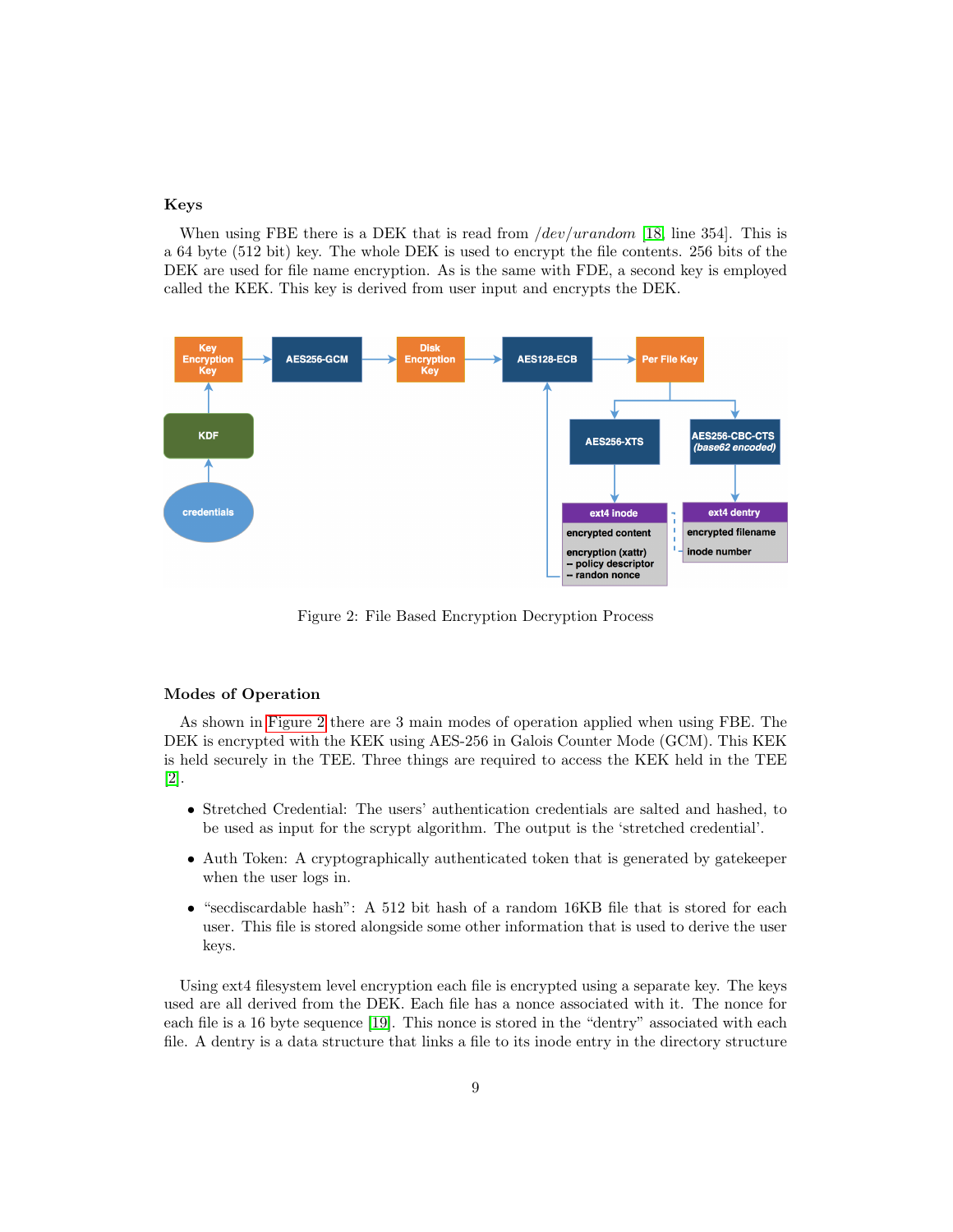#### Keys

When using FBE there is a DEK that is read from */dev/urandom* [\[18,](#page-29-5) line 354]. This is a 64 byte (512 bit) key. The whole DEK is used to encrypt the file contents. 256 bits of the DEK are used for file name encryption. As is the same with FDE, a second key is employed called the KEK. This key is derived from user input and encrypts the DEK.



<span id="page-9-0"></span>Figure 2: File Based Encryption Decryption Process

#### Modes of Operation

As shown in [Figure 2](#page-9-0) there are 3 main modes of operation applied when using FBE. The DEK is encrypted with the KEK using AES-256 in Galois Counter Mode (GCM). This KEK is held securely in the TEE. Three things are required to access the KEK held in the TEE [\[2\]](#page-28-1).

- Stretched Credential: The users' authentication credentials are salted and hashed, to be used as input for the scrypt algorithm. The output is the 'stretched credential'.
- Auth Token: A cryptographically authenticated token that is generated by gatekeeper when the user logs in.
- "secdiscardable hash": A 512 bit hash of a random 16KB file that is stored for each user. This file is stored alongside some other information that is used to derive the user keys.

Using ext4 filesystem level encryption each file is encrypted using a separate key. The keys used are all derived from the DEK. Each file has a nonce associated with it. The nonce for each file is a 16 byte sequence [\[19\]](#page-29-6). This nonce is stored in the "dentry" associated with each file. A dentry is a data structure that links a file to its inode entry in the directory structure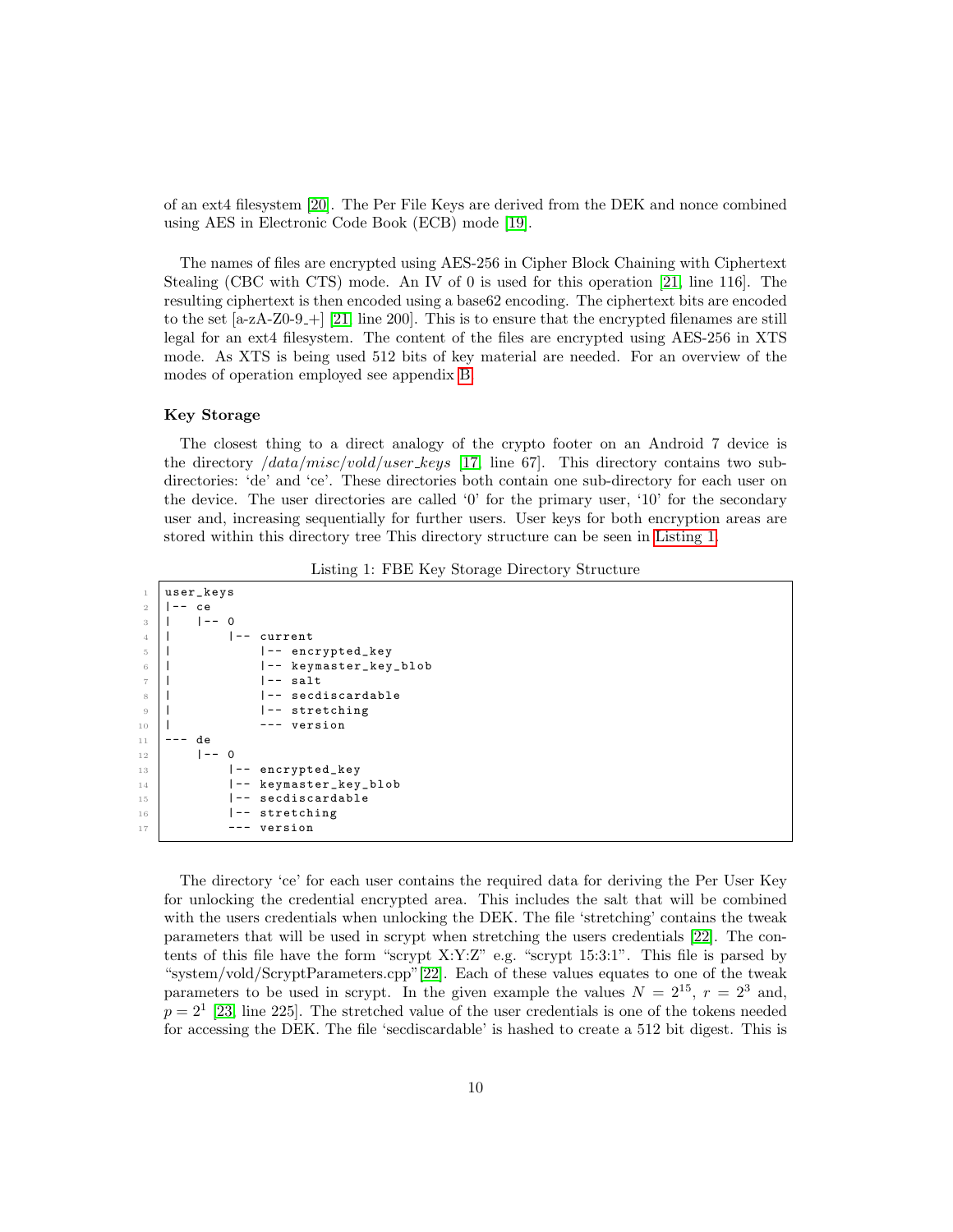of an ext4 filesystem [\[20\]](#page-29-7). The Per File Keys are derived from the DEK and nonce combined using AES in Electronic Code Book (ECB) mode [\[19\]](#page-29-6).

The names of files are encrypted using AES-256 in Cipher Block Chaining with Ciphertext Stealing (CBC with CTS) mode. An IV of 0 is used for this operation [\[21,](#page-29-8) line 116]. The resulting ciphertext is then encoded using a base62 encoding. The ciphertext bits are encoded to the set  $[a-zA-Z0-9-+]$  [\[21,](#page-29-8) line 200]. This is to ensure that the encrypted filenames are still legal for an ext4 filesystem. The content of the files are encrypted using AES-256 in XTS mode. As XTS is being used 512 bits of key material are needed. For an overview of the modes of operation employed see appendix [B.](#page-34-0)

#### <span id="page-10-1"></span>Key Storage

The closest thing to a direct analogy of the crypto footer on an Android 7 device is the directory  $\frac{data/misc/vold/user\_keys}{17}$ , line 67. This directory contains two subdirectories: 'de' and 'ce'. These directories both contain one sub-directory for each user on the device. The user directories are called '0' for the primary user, '10' for the secondary user and, increasing sequentially for further users. User keys for both encryption areas are stored within this directory tree This directory structure can be seen in [Listing 1.](#page-10-0)

Listing 1: FBE Key Storage Directory Structure

```
1 user_keys
2 | - ce
3 | | | | | | | | 0
4 | | - current
             |-- encrypted_key<br>|-- keymaster key
6 | |-- keymaster_key_blob
             | -- salt8 | |-- secdiscardable
9 | |-- stretching
10 | --- version
11 --- de
12 |-- 0
13 | |-- encrypted_key
14 | |-- keymaster_key_blob
15 |-- secdiscardable
16 |-- stretching
17 --- version
```
The directory 'ce' for each user contains the required data for deriving the Per User Key for unlocking the credential encrypted area. This includes the salt that will be combined with the users credentials when unlocking the DEK. The file 'stretching' contains the tweak parameters that will be used in scrypt when stretching the users credentials [\[22\]](#page-29-9). The contents of this file have the form "scrypt  $X:Y:Z$ " e.g. "scrypt 15:3:1". This file is parsed by "system/vold/ScryptParameters.cpp"[\[22\]](#page-29-9). Each of these values equates to one of the tweak parameters to be used in scrypt. In the given example the values  $N = 2^{15}$ ,  $r = 2^3$  and,  $p = 2<sup>1</sup>$  [\[23,](#page-29-10) line 225]. The stretched value of the user credentials is one of the tokens needed for accessing the DEK. The file 'secdiscardable' is hashed to create a 512 bit digest. This is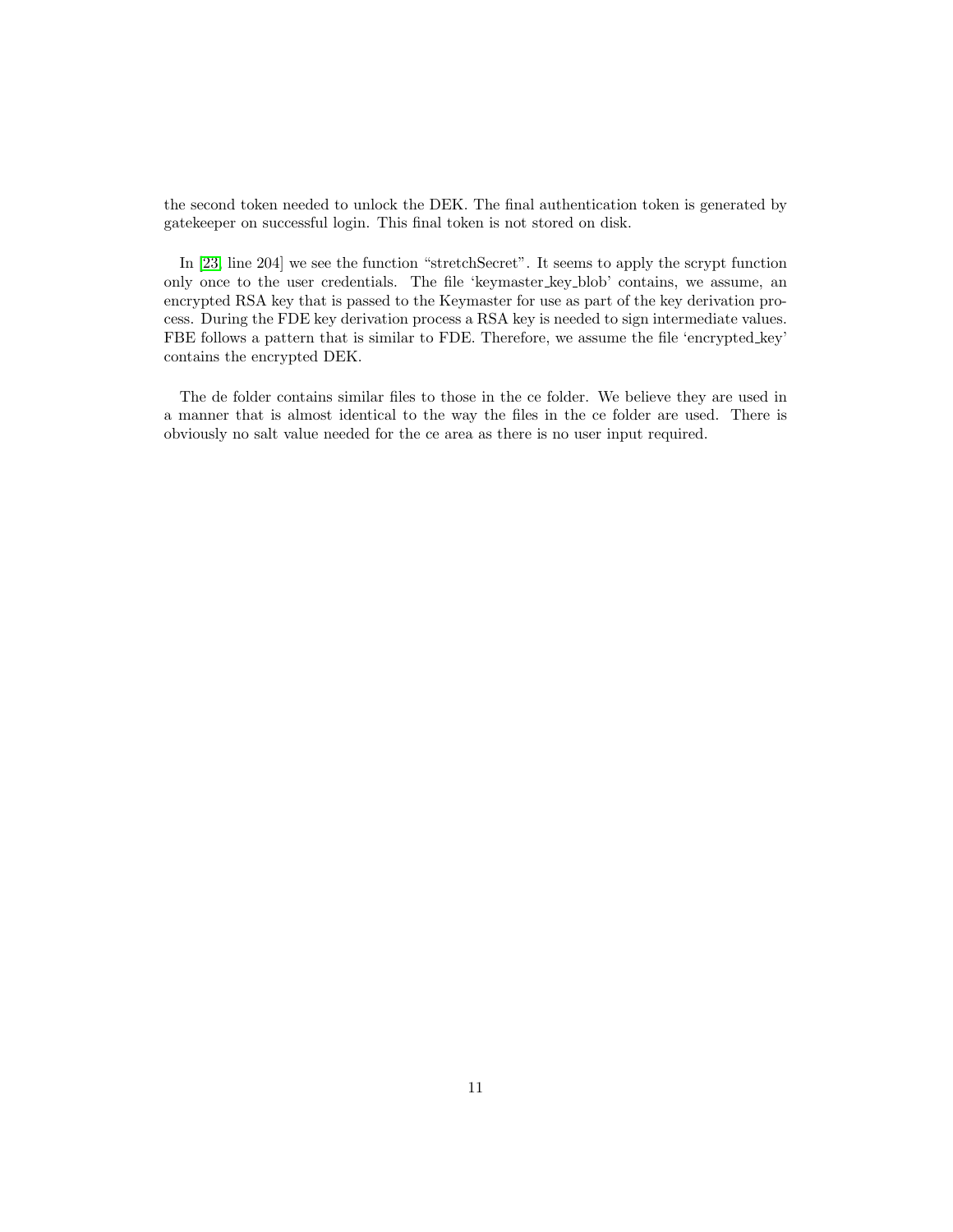the second token needed to unlock the DEK. The final authentication token is generated by gatekeeper on successful login. This final token is not stored on disk.

In [\[23,](#page-29-10) line 204] we see the function "stretchSecret". It seems to apply the scrypt function only once to the user credentials. The file 'keymaster key blob' contains, we assume, an encrypted RSA key that is passed to the Keymaster for use as part of the key derivation process. During the FDE key derivation process a RSA key is needed to sign intermediate values. FBE follows a pattern that is similar to FDE. Therefore, we assume the file 'encrypted key' contains the encrypted DEK.

The de folder contains similar files to those in the ce folder. We believe they are used in a manner that is almost identical to the way the files in the ce folder are used. There is obviously no salt value needed for the ce area as there is no user input required.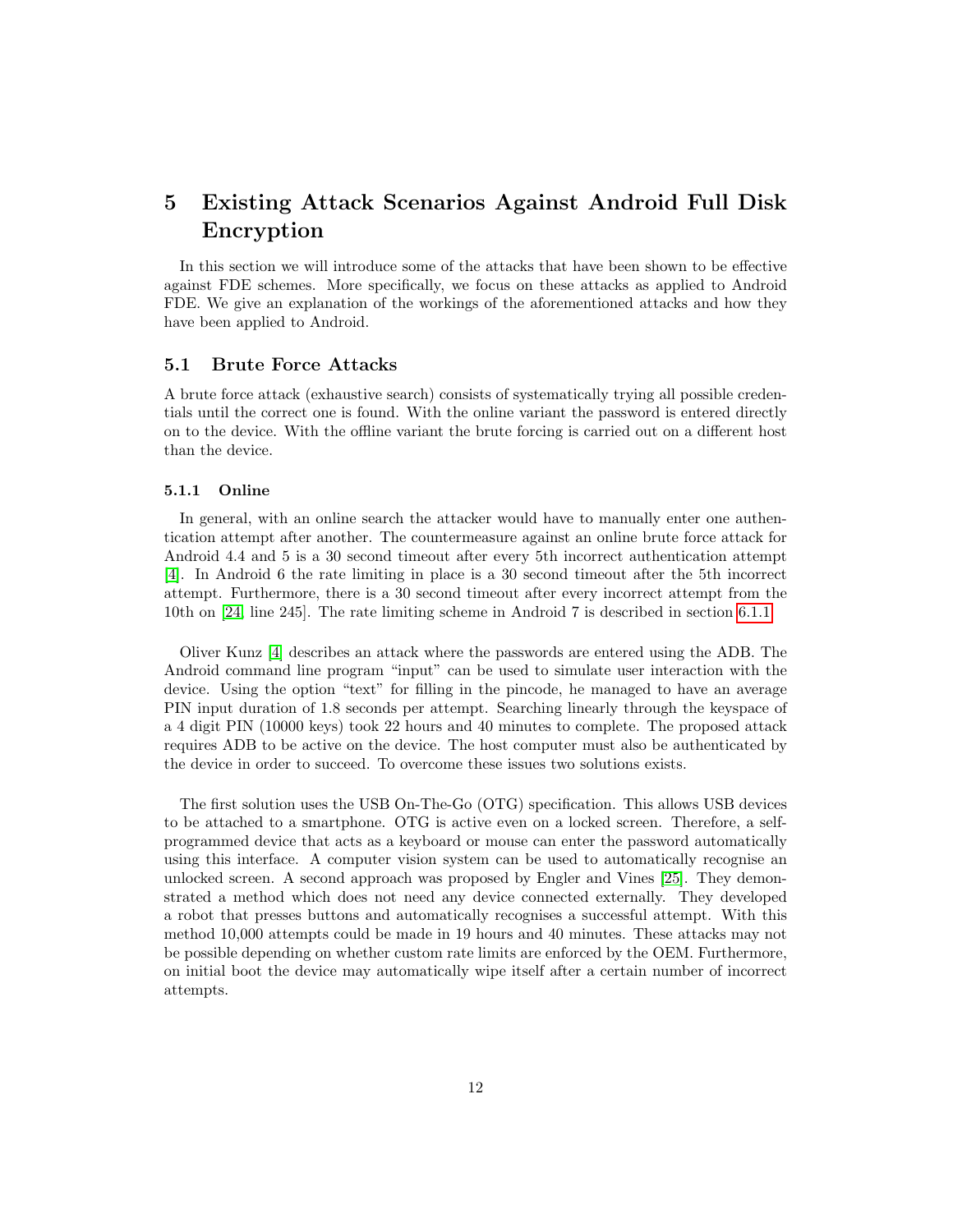## <span id="page-12-0"></span>5 Existing Attack Scenarios Against Android Full Disk Encryption

In this section we will introduce some of the attacks that have been shown to be effective against FDE schemes. More specifically, we focus on these attacks as applied to Android FDE. We give an explanation of the workings of the aforementioned attacks and how they have been applied to Android.

#### <span id="page-12-1"></span>5.1 Brute Force Attacks

A brute force attack (exhaustive search) consists of systematically trying all possible credentials until the correct one is found. With the online variant the password is entered directly on to the device. With the offline variant the brute forcing is carried out on a different host than the device.

#### <span id="page-12-2"></span>5.1.1 Online

In general, with an online search the attacker would have to manually enter one authentication attempt after another. The countermeasure against an online brute force attack for Android 4.4 and 5 is a 30 second timeout after every 5th incorrect authentication attempt [\[4\]](#page-28-3). In Android 6 the rate limiting in place is a 30 second timeout after the 5th incorrect attempt. Furthermore, there is a 30 second timeout after every incorrect attempt from the 10th on [\[24,](#page-29-11) line 245]. The rate limiting scheme in Android 7 is described in section [6.1.1.](#page-18-2)

Oliver Kunz [\[4\]](#page-28-3) describes an attack where the passwords are entered using the ADB. The Android command line program "input" can be used to simulate user interaction with the device. Using the option "text" for filling in the pincode, he managed to have an average PIN input duration of 1.8 seconds per attempt. Searching linearly through the keyspace of a 4 digit PIN (10000 keys) took 22 hours and 40 minutes to complete. The proposed attack requires ADB to be active on the device. The host computer must also be authenticated by the device in order to succeed. To overcome these issues two solutions exists.

The first solution uses the USB On-The-Go (OTG) specification. This allows USB devices to be attached to a smartphone. OTG is active even on a locked screen. Therefore, a selfprogrammed device that acts as a keyboard or mouse can enter the password automatically using this interface. A computer vision system can be used to automatically recognise an unlocked screen. A second approach was proposed by Engler and Vines [\[25\]](#page-29-12). They demonstrated a method which does not need any device connected externally. They developed a robot that presses buttons and automatically recognises a successful attempt. With this method 10,000 attempts could be made in 19 hours and 40 minutes. These attacks may not be possible depending on whether custom rate limits are enforced by the OEM. Furthermore, on initial boot the device may automatically wipe itself after a certain number of incorrect attempts.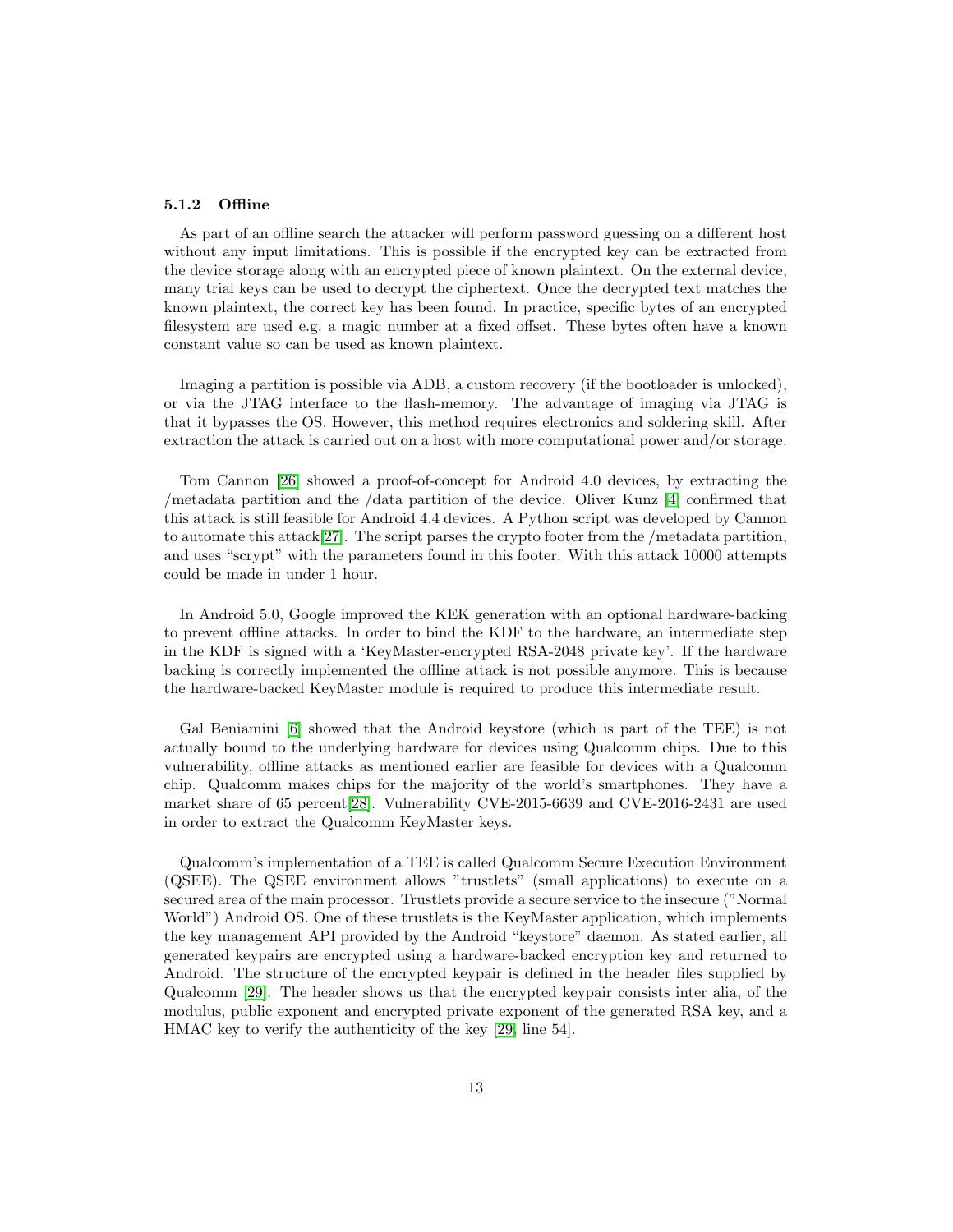#### <span id="page-13-0"></span>5.1.2 Offline

As part of an offline search the attacker will perform password guessing on a different host without any input limitations. This is possible if the encrypted key can be extracted from the device storage along with an encrypted piece of known plaintext. On the external device, many trial keys can be used to decrypt the ciphertext. Once the decrypted text matches the known plaintext, the correct key has been found. In practice, specific bytes of an encrypted filesystem are used e.g. a magic number at a fixed offset. These bytes often have a known constant value so can be used as known plaintext.

Imaging a partition is possible via ADB, a custom recovery (if the bootloader is unlocked), or via the JTAG interface to the flash-memory. The advantage of imaging via JTAG is that it bypasses the OS. However, this method requires electronics and soldering skill. After extraction the attack is carried out on a host with more computational power and/or storage.

Tom Cannon [\[26\]](#page-30-0) showed a proof-of-concept for Android 4.0 devices, by extracting the /metadata partition and the /data partition of the device. Oliver Kunz [\[4\]](#page-28-3) confirmed that this attack is still feasible for Android 4.4 devices. A Python script was developed by Cannon to automate this attack[\[27\]](#page-30-1). The script parses the crypto footer from the /metadata partition, and uses "scrypt" with the parameters found in this footer. With this attack 10000 attempts could be made in under 1 hour.

In Android 5.0, Google improved the KEK generation with an optional hardware-backing to prevent offline attacks. In order to bind the KDF to the hardware, an intermediate step in the KDF is signed with a 'KeyMaster-encrypted RSA-2048 private key'. If the hardware backing is correctly implemented the offline attack is not possible anymore. This is because the hardware-backed KeyMaster module is required to produce this intermediate result.

Gal Beniamini [\[6\]](#page-28-5) showed that the Android keystore (which is part of the TEE) is not actually bound to the underlying hardware for devices using Qualcomm chips. Due to this vulnerability, offline attacks as mentioned earlier are feasible for devices with a Qualcomm chip. Qualcomm makes chips for the majority of the world's smartphones. They have a market share of 65 percent[\[28\]](#page-30-2). Vulnerability CVE-2015-6639 and CVE-2016-2431 are used in order to extract the Qualcomm KeyMaster keys.

Qualcomm's implementation of a TEE is called Qualcomm Secure Execution Environment (QSEE). The QSEE environment allows "trustlets" (small applications) to execute on a secured area of the main processor. Trustlets provide a secure service to the insecure ("Normal World") Android OS. One of these trustlets is the KeyMaster application, which implements the key management API provided by the Android "keystore" daemon. As stated earlier, all generated keypairs are encrypted using a hardware-backed encryption key and returned to Android. The structure of the encrypted keypair is defined in the header files supplied by Qualcomm [\[29\]](#page-30-3). The header shows us that the encrypted keypair consists inter alia, of the modulus, public exponent and encrypted private exponent of the generated RSA key, and a HMAC key to verify the authenticity of the key [\[29,](#page-30-3) line 54].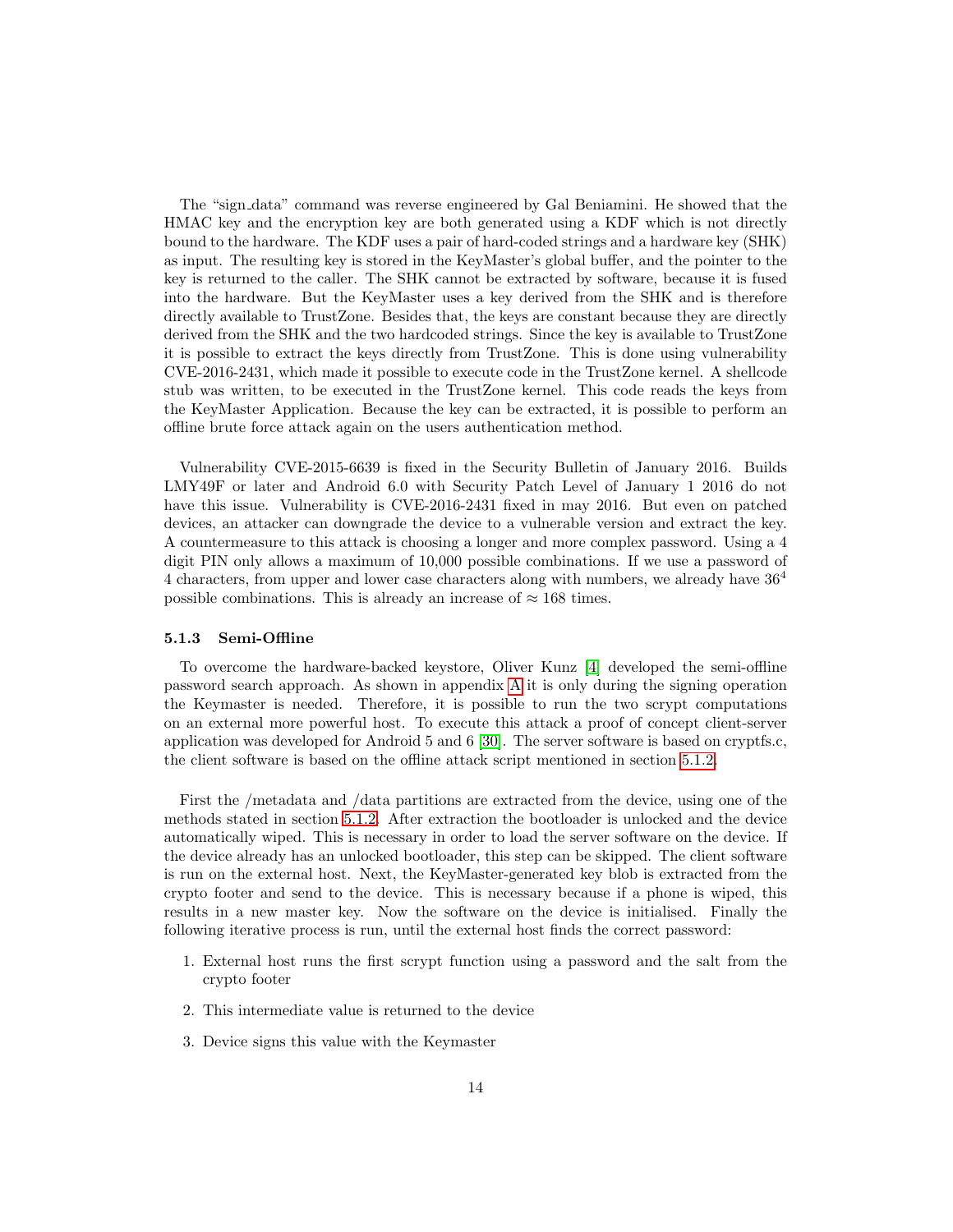The "sign data" command was reverse engineered by Gal Beniamini. He showed that the HMAC key and the encryption key are both generated using a KDF which is not directly bound to the hardware. The KDF uses a pair of hard-coded strings and a hardware key (SHK) as input. The resulting key is stored in the KeyMaster's global buffer, and the pointer to the key is returned to the caller. The SHK cannot be extracted by software, because it is fused into the hardware. But the KeyMaster uses a key derived from the SHK and is therefore directly available to TrustZone. Besides that, the keys are constant because they are directly derived from the SHK and the two hardcoded strings. Since the key is available to TrustZone it is possible to extract the keys directly from TrustZone. This is done using vulnerability CVE-2016-2431, which made it possible to execute code in the TrustZone kernel. A shellcode stub was written, to be executed in the TrustZone kernel. This code reads the keys from the KeyMaster Application. Because the key can be extracted, it is possible to perform an offline brute force attack again on the users authentication method.

Vulnerability CVE-2015-6639 is fixed in the Security Bulletin of January 2016. Builds LMY49F or later and Android 6.0 with Security Patch Level of January 1 2016 do not have this issue. Vulnerability is CVE-2016-2431 fixed in may 2016. But even on patched devices, an attacker can downgrade the device to a vulnerable version and extract the key. A countermeasure to this attack is choosing a longer and more complex password. Using a 4 digit PIN only allows a maximum of 10,000 possible combinations. If we use a password of 4 characters, from upper and lower case characters along with numbers, we already have 36<sup>4</sup> possible combinations. This is already an increase of  $\approx 168$  times.

#### <span id="page-14-0"></span>5.1.3 Semi-Offline

To overcome the hardware-backed keystore, Oliver Kunz [\[4\]](#page-28-3) developed the semi-offline password search approach. As shown in appendix [A](#page-33-1) it is only during the signing operation the Keymaster is needed. Therefore, it is possible to run the two scrypt computations on an external more powerful host. To execute this attack a proof of concept client-server application was developed for Android 5 and 6 [\[30\]](#page-30-4). The server software is based on cryptfs.c, the client software is based on the offline attack script mentioned in section [5.1.2.](#page-13-0)

First the /metadata and /data partitions are extracted from the device, using one of the methods stated in section [5.1.2.](#page-13-0) After extraction the bootloader is unlocked and the device automatically wiped. This is necessary in order to load the server software on the device. If the device already has an unlocked bootloader, this step can be skipped. The client software is run on the external host. Next, the KeyMaster-generated key blob is extracted from the crypto footer and send to the device. This is necessary because if a phone is wiped, this results in a new master key. Now the software on the device is initialised. Finally the following iterative process is run, until the external host finds the correct password:

- 1. External host runs the first scrypt function using a password and the salt from the crypto footer
- 2. This intermediate value is returned to the device
- 3. Device signs this value with the Keymaster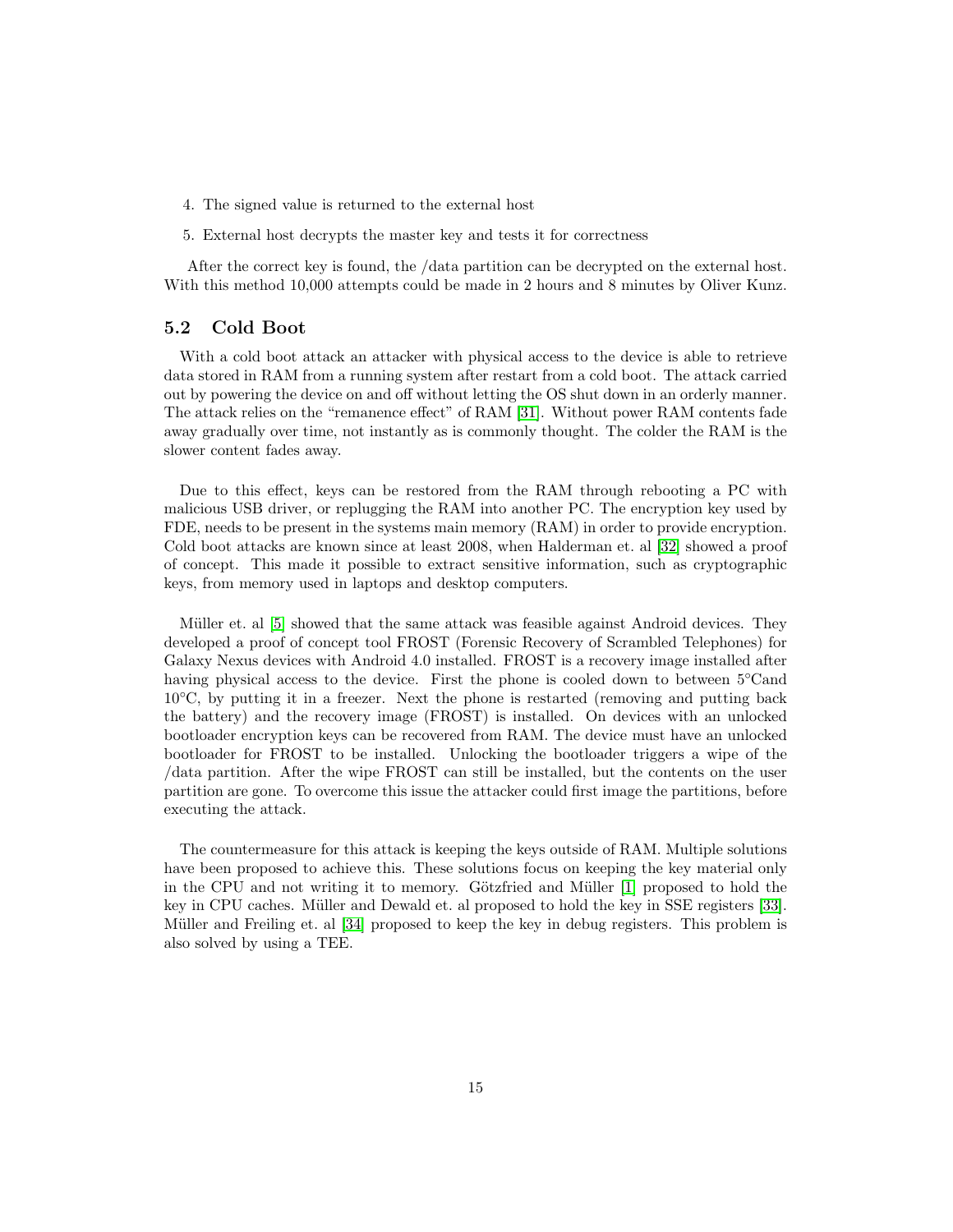- 4. The signed value is returned to the external host
- 5. External host decrypts the master key and tests it for correctness

After the correct key is found, the /data partition can be decrypted on the external host. With this method 10,000 attempts could be made in 2 hours and 8 minutes by Oliver Kunz.

#### <span id="page-15-0"></span>5.2 Cold Boot

With a cold boot attack an attacker with physical access to the device is able to retrieve data stored in RAM from a running system after restart from a cold boot. The attack carried out by powering the device on and off without letting the OS shut down in an orderly manner. The attack relies on the "remanence effect" of RAM [\[31\]](#page-30-5). Without power RAM contents fade away gradually over time, not instantly as is commonly thought. The colder the RAM is the slower content fades away.

Due to this effect, keys can be restored from the RAM through rebooting a PC with malicious USB driver, or replugging the RAM into another PC. The encryption key used by FDE, needs to be present in the systems main memory (RAM) in order to provide encryption. Cold boot attacks are known since at least 2008, when Halderman et. al [\[32\]](#page-30-6) showed a proof of concept. This made it possible to extract sensitive information, such as cryptographic keys, from memory used in laptops and desktop computers.

Müller et. al [\[5\]](#page-28-4) showed that the same attack was feasible against Android devices. They developed a proof of concept tool FROST (Forensic Recovery of Scrambled Telephones) for Galaxy Nexus devices with Android 4.0 installed. FROST is a recovery image installed after having physical access to the device. First the phone is cooled down to between 5◦Cand 10◦C, by putting it in a freezer. Next the phone is restarted (removing and putting back the battery) and the recovery image (FROST) is installed. On devices with an unlocked bootloader encryption keys can be recovered from RAM. The device must have an unlocked bootloader for FROST to be installed. Unlocking the bootloader triggers a wipe of the /data partition. After the wipe FROST can still be installed, but the contents on the user partition are gone. To overcome this issue the attacker could first image the partitions, before executing the attack.

The countermeasure for this attack is keeping the keys outside of RAM. Multiple solutions have been proposed to achieve this. These solutions focus on keeping the key material only in the CPU and not writing it to memory. Götzfried and Müller  $[1]$  proposed to hold the key in CPU caches. Müller and Dewald et. al proposed to hold the key in SSE registers [\[33\]](#page-30-7). Müller and Freiling et. al [\[34\]](#page-30-8) proposed to keep the key in debug registers. This problem is also solved by using a TEE.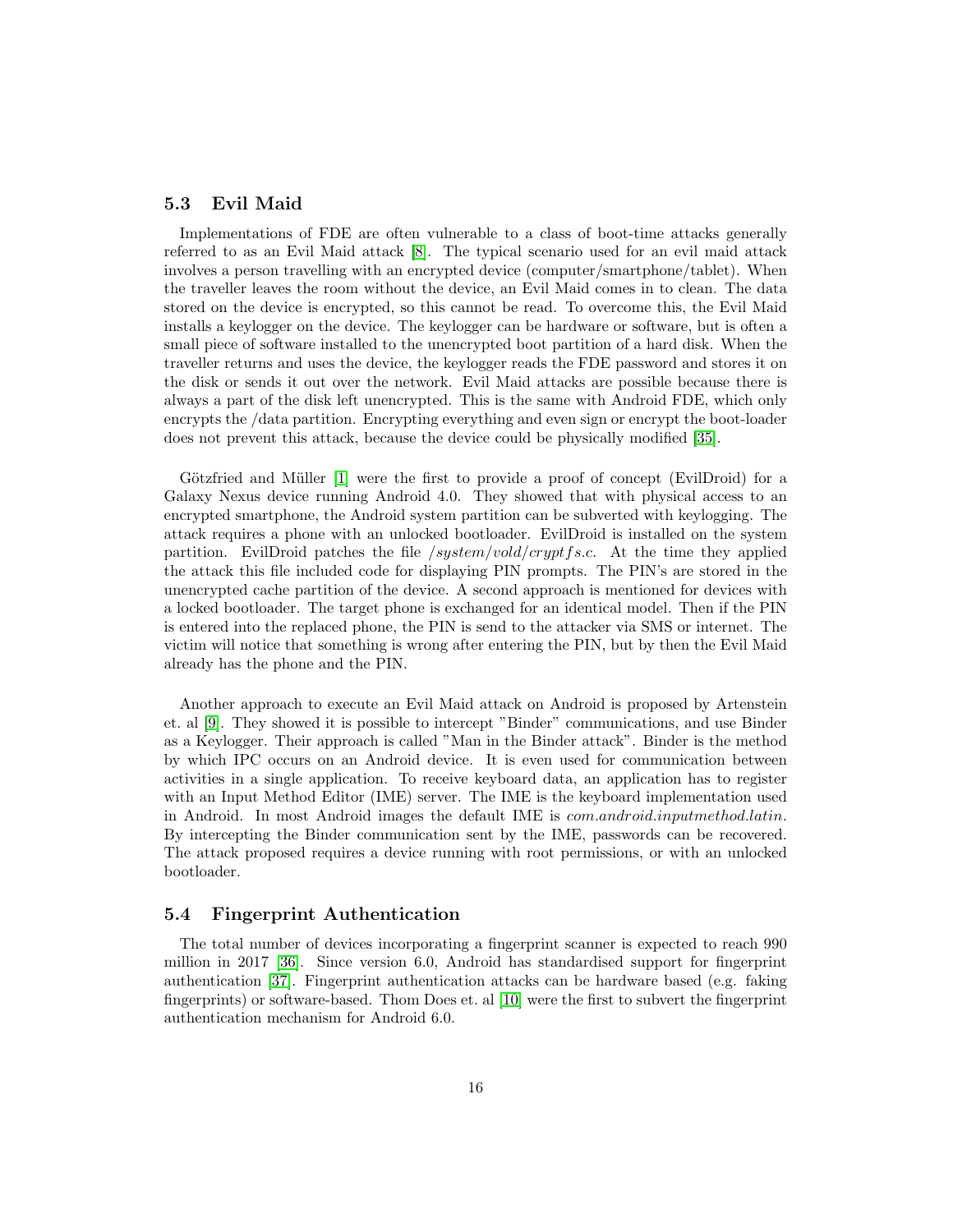#### <span id="page-16-0"></span>5.3 Evil Maid

Implementations of FDE are often vulnerable to a class of boot-time attacks generally referred to as an Evil Maid attack [\[8\]](#page-28-7). The typical scenario used for an evil maid attack involves a person travelling with an encrypted device (computer/smartphone/tablet). When the traveller leaves the room without the device, an Evil Maid comes in to clean. The data stored on the device is encrypted, so this cannot be read. To overcome this, the Evil Maid installs a keylogger on the device. The keylogger can be hardware or software, but is often a small piece of software installed to the unencrypted boot partition of a hard disk. When the traveller returns and uses the device, the keylogger reads the FDE password and stores it on the disk or sends it out over the network. Evil Maid attacks are possible because there is always a part of the disk left unencrypted. This is the same with Android FDE, which only encrypts the /data partition. Encrypting everything and even sign or encrypt the boot-loader does not prevent this attack, because the device could be physically modified [\[35\]](#page-30-9).

Götzfried and Müller [\[1\]](#page-28-0) were the first to provide a proof of concept (EvilDroid) for a Galaxy Nexus device running Android 4.0. They showed that with physical access to an encrypted smartphone, the Android system partition can be subverted with keylogging. The attack requires a phone with an unlocked bootloader. EvilDroid is installed on the system partition. EvilDroid patches the file  $\frac{system/vold/cryptfs.c.}{}$  At the time they applied the attack this file included code for displaying PIN prompts. The PIN's are stored in the unencrypted cache partition of the device. A second approach is mentioned for devices with a locked bootloader. The target phone is exchanged for an identical model. Then if the PIN is entered into the replaced phone, the PIN is send to the attacker via SMS or internet. The victim will notice that something is wrong after entering the PIN, but by then the Evil Maid already has the phone and the PIN.

Another approach to execute an Evil Maid attack on Android is proposed by Artenstein et. al [\[9\]](#page-28-8). They showed it is possible to intercept "Binder" communications, and use Binder as a Keylogger. Their approach is called "Man in the Binder attack". Binder is the method by which IPC occurs on an Android device. It is even used for communication between activities in a single application. To receive keyboard data, an application has to register with an Input Method Editor (IME) server. The IME is the keyboard implementation used in Android. In most Android images the default IME is com.android.inputmethod.latin. By intercepting the Binder communication sent by the IME, passwords can be recovered. The attack proposed requires a device running with root permissions, or with an unlocked bootloader.

#### <span id="page-16-1"></span>5.4 Fingerprint Authentication

The total number of devices incorporating a fingerprint scanner is expected to reach 990 million in 2017 [\[36\]](#page-30-10). Since version 6.0, Android has standardised support for fingerprint authentication [\[37\]](#page-30-11). Fingerprint authentication attacks can be hardware based (e.g. faking fingerprints) or software-based. Thom Does et. al [\[10\]](#page-28-9) were the first to subvert the fingerprint authentication mechanism for Android 6.0.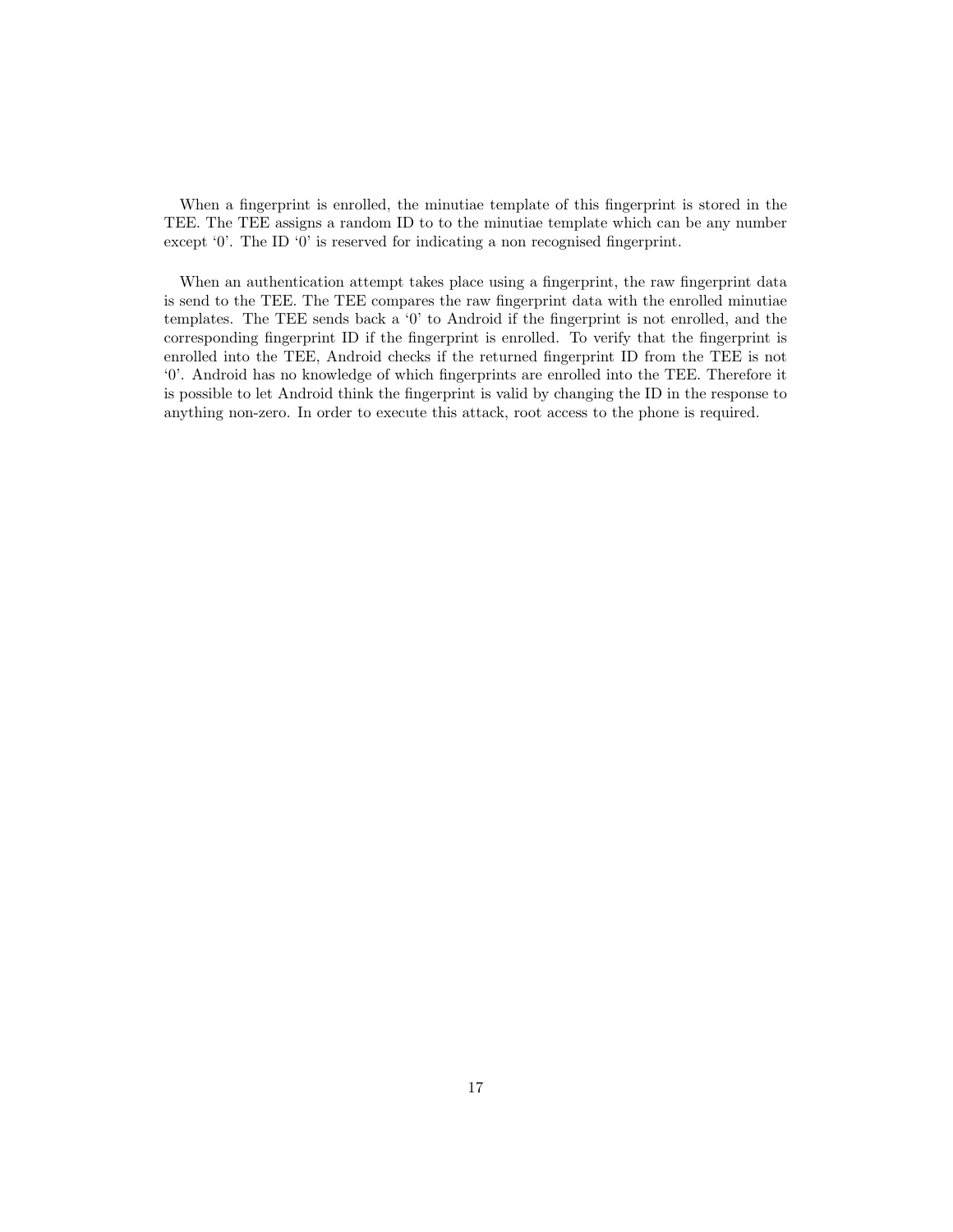When a fingerprint is enrolled, the minutiae template of this fingerprint is stored in the TEE. The TEE assigns a random ID to to the minutiae template which can be any number except '0'. The ID '0' is reserved for indicating a non recognised fingerprint.

When an authentication attempt takes place using a fingerprint, the raw fingerprint data is send to the TEE. The TEE compares the raw fingerprint data with the enrolled minutiae templates. The TEE sends back a '0' to Android if the fingerprint is not enrolled, and the corresponding fingerprint ID if the fingerprint is enrolled. To verify that the fingerprint is enrolled into the TEE, Android checks if the returned fingerprint ID from the TEE is not '0'. Android has no knowledge of which fingerprints are enrolled into the TEE. Therefore it is possible to let Android think the fingerprint is valid by changing the ID in the response to anything non-zero. In order to execute this attack, root access to the phone is required.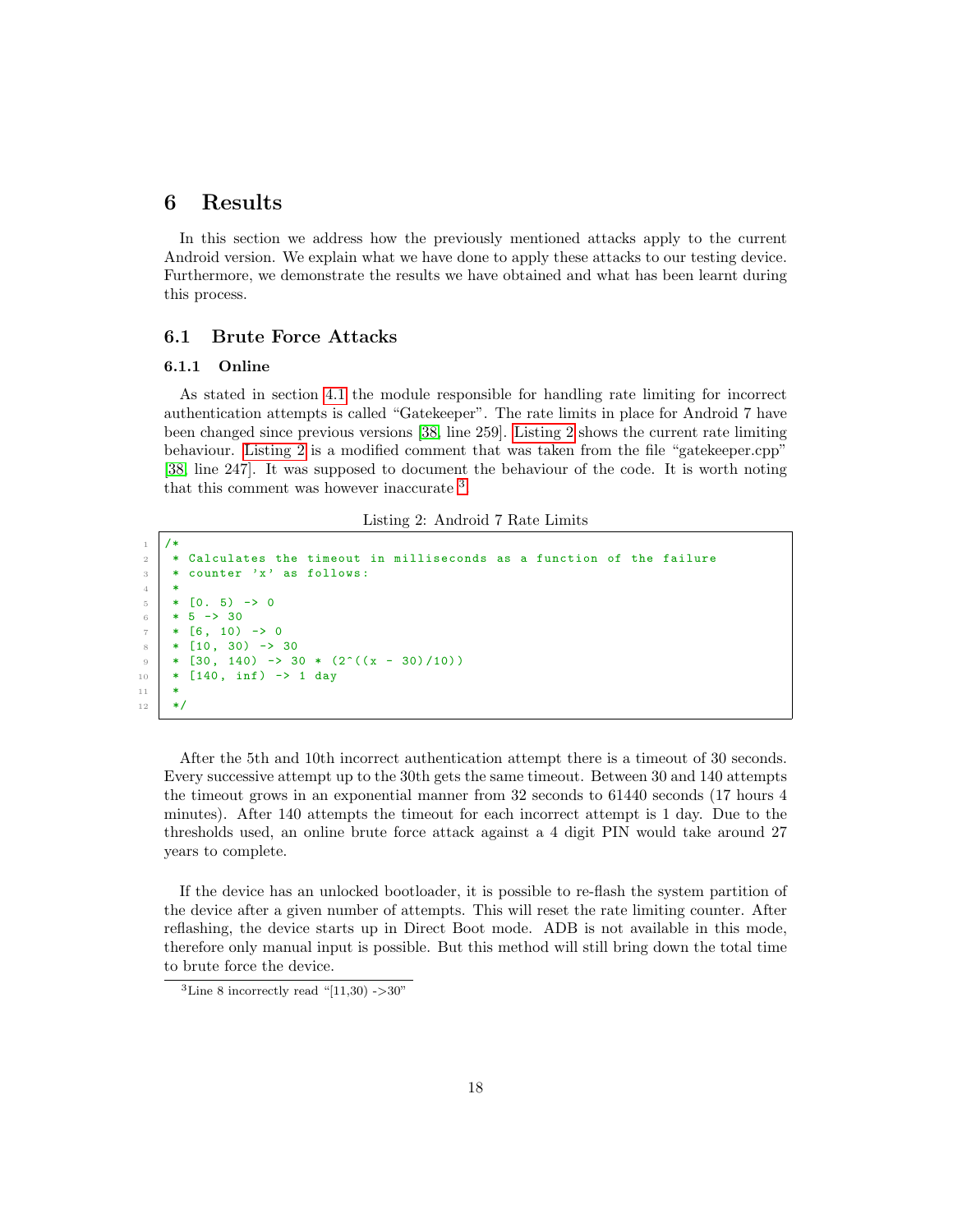## <span id="page-18-0"></span>6 Results

In this section we address how the previously mentioned attacks apply to the current Android version. We explain what we have done to apply these attacks to our testing device. Furthermore, we demonstrate the results we have obtained and what has been learnt during this process.

#### <span id="page-18-1"></span>6.1 Brute Force Attacks

#### <span id="page-18-2"></span>6.1.1 Online

As stated in section [4.1](#page-6-1) the module responsible for handling rate limiting for incorrect authentication attempts is called "Gatekeeper". The rate limits in place for Android 7 have been changed since previous versions [\[38,](#page-31-0) line 259]. [Listing 2](#page-18-3) shows the current rate limiting behaviour. [Listing 2](#page-18-3) is a modified comment that was taken from the file "gatekeeper.cpp" [\[38,](#page-31-0) line 247]. It was supposed to document the behaviour of the code. It is worth noting that this comment was however inaccurate [3](#page-18-4) .

Listing 2: Android 7 Rate Limits

```
1 / *2 * Calculates the timeout in milliseconds as a function of the failure
 3 * counter 'x' as follows:
 <sup>4</sup>
 \begin{array}{c|cc} 5 & * & 0.5 & - & & 0 \\ 6 & * & 5 & - & & 30 \end{array}6 \t * 5 \rightarrow 307 * [6, 10) \rightarrow 08 \times 10, 30) -> 30
 9 \mid * [30, 140) \rightarrow 30 * (2^((x - 30)/10))_{10} * [140, inf) \rightarrow 1 day
11 *
12 \mid * \mid
```
After the 5th and 10th incorrect authentication attempt there is a timeout of 30 seconds. Every successive attempt up to the 30th gets the same timeout. Between 30 and 140 attempts the timeout grows in an exponential manner from 32 seconds to 61440 seconds (17 hours 4 minutes). After 140 attempts the timeout for each incorrect attempt is 1 day. Due to the thresholds used, an online brute force attack against a 4 digit PIN would take around 27 years to complete.

If the device has an unlocked bootloader, it is possible to re-flash the system partition of the device after a given number of attempts. This will reset the rate limiting counter. After reflashing, the device starts up in Direct Boot mode. ADB is not available in this mode, therefore only manual input is possible. But this method will still bring down the total time to brute force the device.

<span id="page-18-4"></span><sup>&</sup>lt;sup>3</sup>Line 8 incorrectly read "[11,30)  $-$  > 30"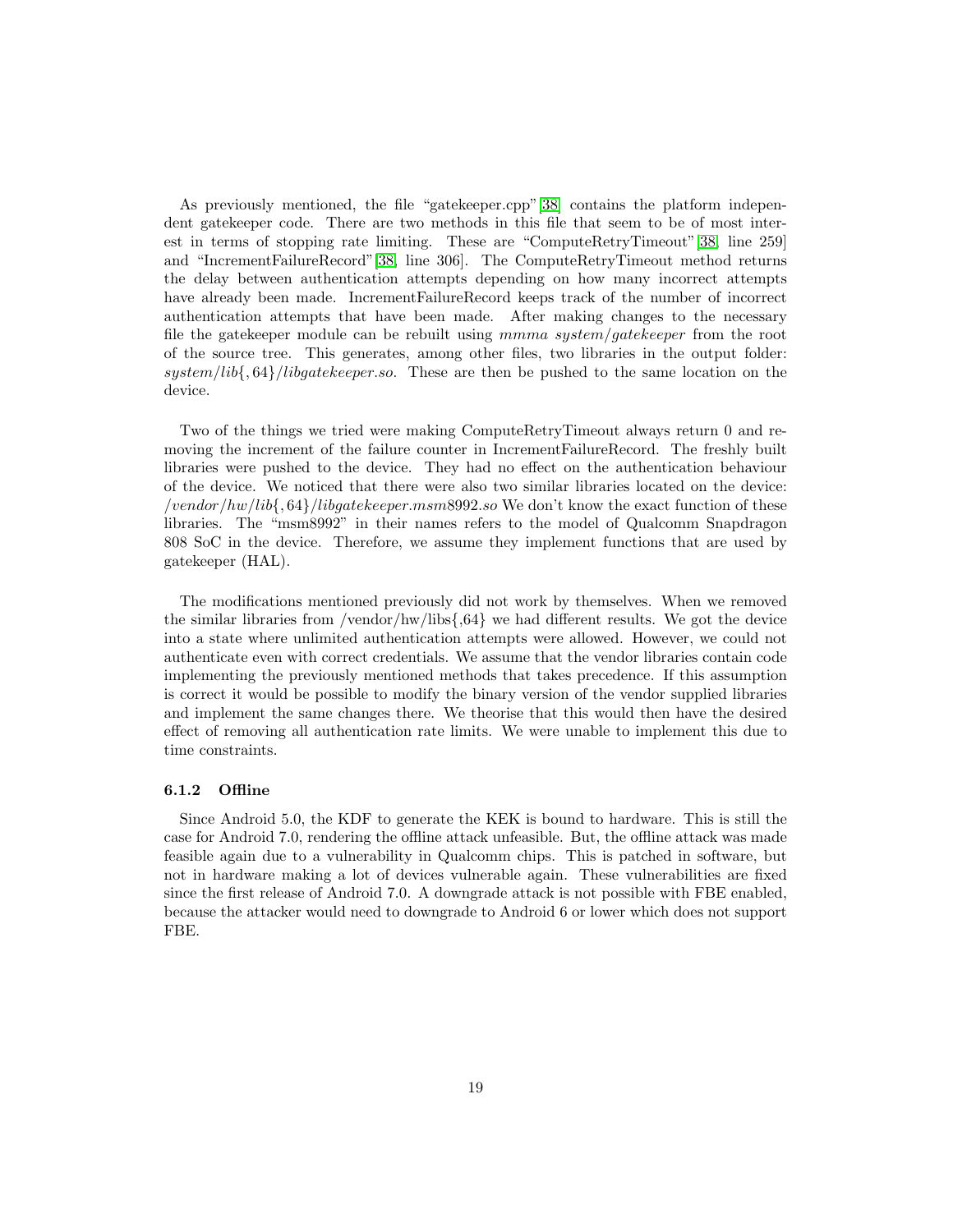As previously mentioned, the file "gatekeeper.cpp"[\[38\]](#page-31-0) contains the platform independent gatekeeper code. There are two methods in this file that seem to be of most interest in terms of stopping rate limiting. These are "ComputeRetryTimeout"[\[38,](#page-31-0) line 259] and "IncrementFailureRecord"[\[38,](#page-31-0) line 306]. The ComputeRetryTimeout method returns the delay between authentication attempts depending on how many incorrect attempts have already been made. IncrementFailureRecord keeps track of the number of incorrect authentication attempts that have been made. After making changes to the necessary file the gatekeeper module can be rebuilt using mmma system/gatekeeper from the root of the source tree. This generates, among other files, two libraries in the output folder: system/lib{,  $64$ }/libgatekeeper.so. These are then be pushed to the same location on the device.

Two of the things we tried were making ComputeRetryTimeout always return 0 and removing the increment of the failure counter in IncrementFailureRecord. The freshly built libraries were pushed to the device. They had no effect on the authentication behaviour of the device. We noticed that there were also two similar libraries located on the device: /vendor/hw/lib{, 64}/libgatekeeper.msm8992.so We don't know the exact function of these libraries. The "msm8992" in their names refers to the model of Qualcomm Snapdragon 808 SoC in the device. Therefore, we assume they implement functions that are used by gatekeeper (HAL).

The modifications mentioned previously did not work by themselves. When we removed the similar libraries from /vendor/hw/libs $\{0,64\}$  we had different results. We got the device into a state where unlimited authentication attempts were allowed. However, we could not authenticate even with correct credentials. We assume that the vendor libraries contain code implementing the previously mentioned methods that takes precedence. If this assumption is correct it would be possible to modify the binary version of the vendor supplied libraries and implement the same changes there. We theorise that this would then have the desired effect of removing all authentication rate limits. We were unable to implement this due to time constraints.

#### <span id="page-19-0"></span>6.1.2 Offline

Since Android 5.0, the KDF to generate the KEK is bound to hardware. This is still the case for Android 7.0, rendering the offline attack unfeasible. But, the offline attack was made feasible again due to a vulnerability in Qualcomm chips. This is patched in software, but not in hardware making a lot of devices vulnerable again. These vulnerabilities are fixed since the first release of Android 7.0. A downgrade attack is not possible with FBE enabled, because the attacker would need to downgrade to Android 6 or lower which does not support FBE.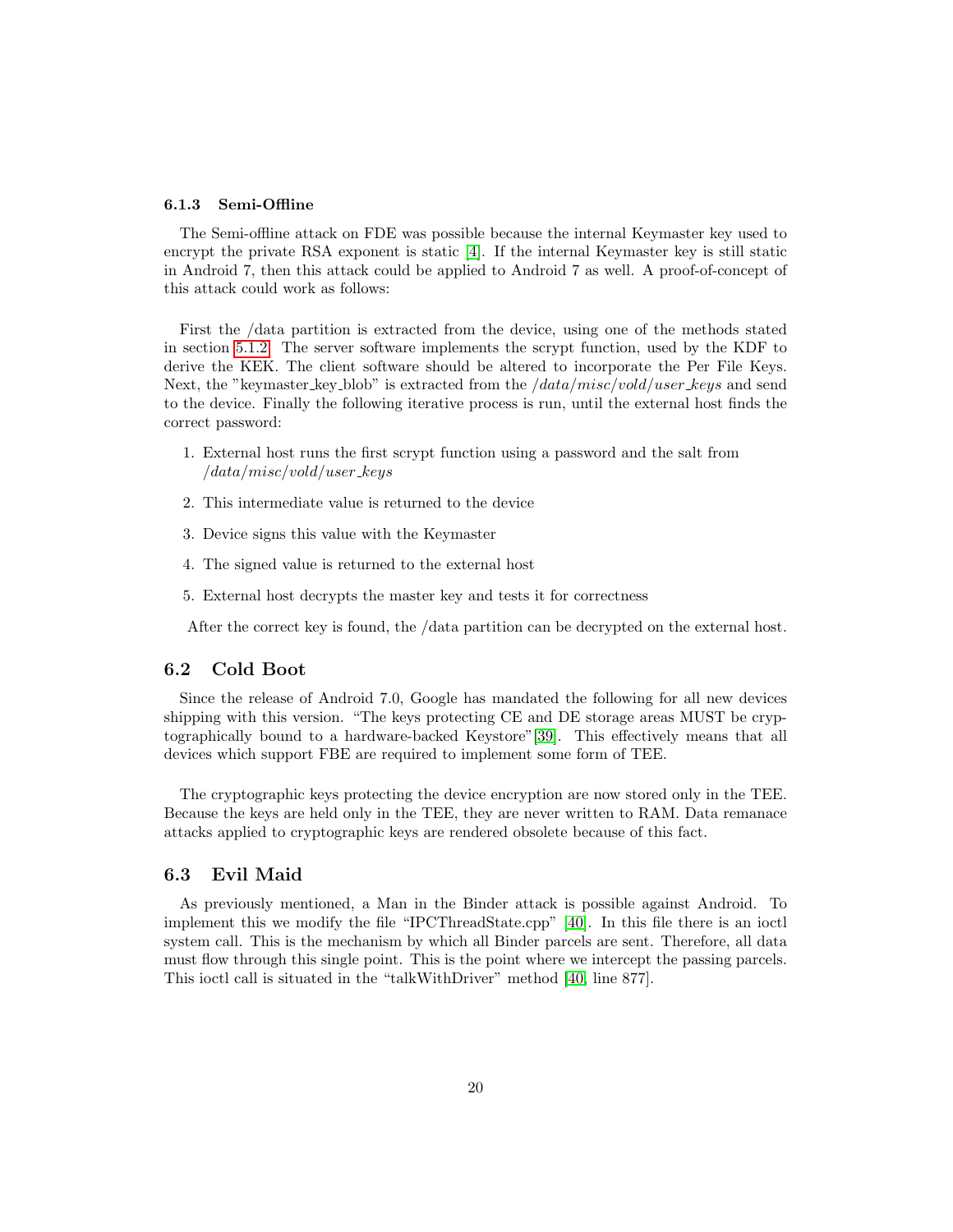#### <span id="page-20-0"></span>6.1.3 Semi-Offline

The Semi-offline attack on FDE was possible because the internal Keymaster key used to encrypt the private RSA exponent is static [\[4\]](#page-28-3). If the internal Keymaster key is still static in Android 7, then this attack could be applied to Android 7 as well. A proof-of-concept of this attack could work as follows:

First the /data partition is extracted from the device, using one of the methods stated in section [5.1.2.](#page-13-0) The server software implements the scrypt function, used by the KDF to derive the KEK. The client software should be altered to incorporate the Per File Keys. Next, the "keymaster key blob" is extracted from the */data/misc/vold/user keys* and send to the device. Finally the following iterative process is run, until the external host finds the correct password:

- 1. External host runs the first scrypt function using a password and the salt from  $\frac{1}{data/misc/vold/user\_keys}$
- 2. This intermediate value is returned to the device
- 3. Device signs this value with the Keymaster
- 4. The signed value is returned to the external host
- 5. External host decrypts the master key and tests it for correctness

After the correct key is found, the /data partition can be decrypted on the external host.

#### <span id="page-20-1"></span>6.2 Cold Boot

Since the release of Android 7.0, Google has mandated the following for all new devices shipping with this version. "The keys protecting CE and DE storage areas MUST be cryptographically bound to a hardware-backed Keystore"[\[39\]](#page-31-1). This effectively means that all devices which support FBE are required to implement some form of TEE.

The cryptographic keys protecting the device encryption are now stored only in the TEE. Because the keys are held only in the TEE, they are never written to RAM. Data remanace attacks applied to cryptographic keys are rendered obsolete because of this fact.

#### <span id="page-20-2"></span>6.3 Evil Maid

As previously mentioned, a Man in the Binder attack is possible against Android. To implement this we modify the file "IPCThreadState.cpp" [\[40\]](#page-31-2). In this file there is an ioctl system call. This is the mechanism by which all Binder parcels are sent. Therefore, all data must flow through this single point. This is the point where we intercept the passing parcels. This ioctl call is situated in the "talkWithDriver" method [\[40,](#page-31-2) line 877].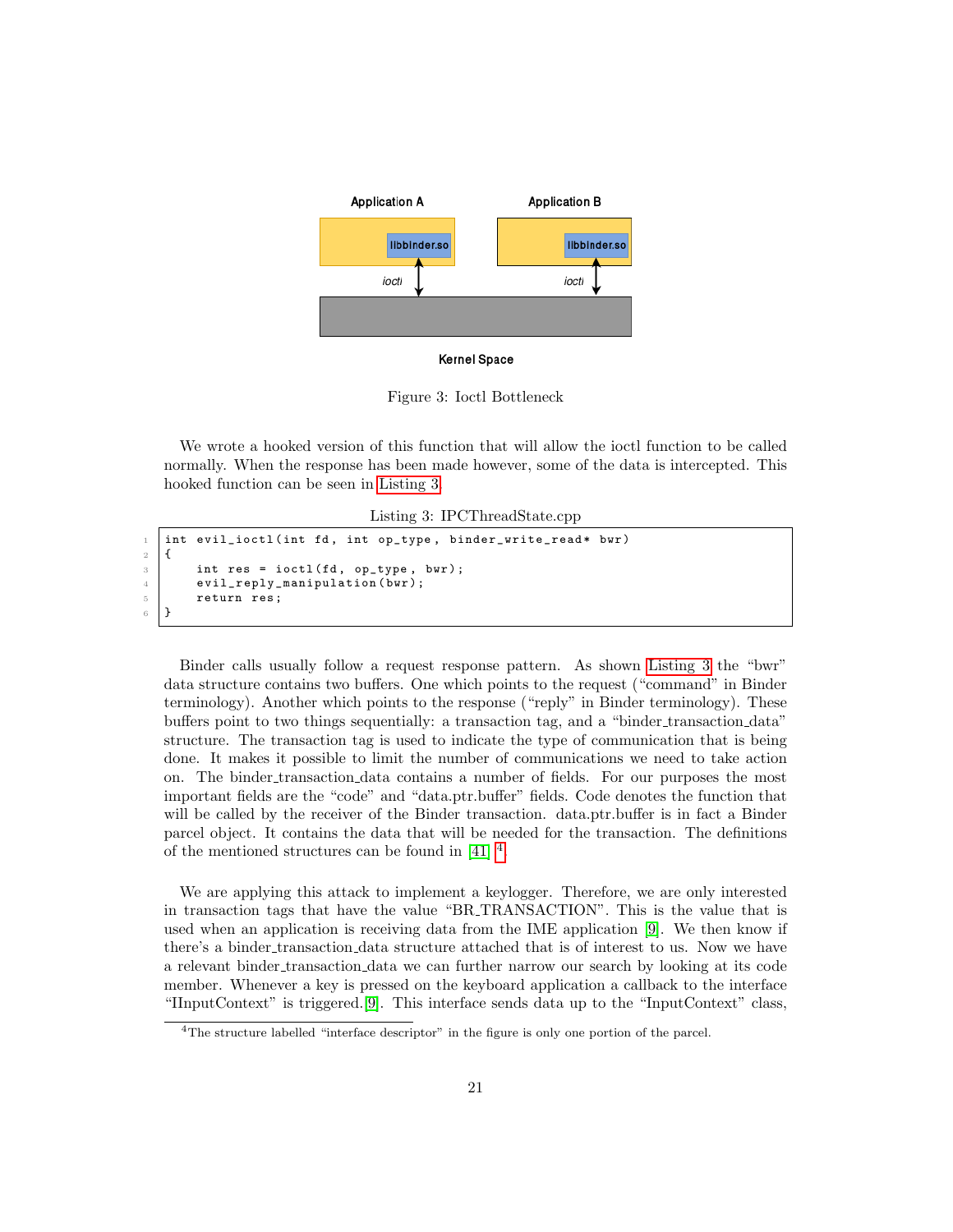

Figure 3: Ioctl Bottleneck

We wrote a hooked version of this function that will allow the ioctl function to be called normally. When the response has been made however, some of the data is intercepted. This hooked function can be seen in [Listing 3.](#page-21-0)

Listing 3: IPCThreadState.cpp

```
int evil_ioctl (int fd, int op_type, binder_write_read* bwr)
2 \mid 13 int res = ioctl(fd, op_type, bwr);
4 evil_reply_manipulation (bwr);
5 return res;
6 }
```
Binder calls usually follow a request response pattern. As shown [Listing 3](#page-21-0) the "bwr" data structure contains two buffers. One which points to the request ("command" in Binder terminology). Another which points to the response ("reply" in Binder terminology). These buffers point to two things sequentially: a transaction tag, and a "binder transaction data" structure. The transaction tag is used to indicate the type of communication that is being done. It makes it possible to limit the number of communications we need to take action on. The binder transaction data contains a number of fields. For our purposes the most important fields are the "code" and "data.ptr.buffer" fields. Code denotes the function that will be called by the receiver of the Binder transaction. data.ptr.buffer is in fact a Binder parcel object. It contains the data that will be needed for the transaction. The definitions of the mentioned structures can be found in  $[41]$ <sup>[4](#page-21-1)</sup>.

We are applying this attack to implement a keylogger. Therefore, we are only interested in transaction tags that have the value "BR TRANSACTION". This is the value that is used when an application is receiving data from the IME application [\[9\]](#page-28-8). We then know if there's a binder transaction data structure attached that is of interest to us. Now we have a relevant binder transaction data we can further narrow our search by looking at its code member. Whenever a key is pressed on the keyboard application a callback to the interface "IInputContext" is triggered.[\[9\]](#page-28-8). This interface sends data up to the "InputContext" class,

<span id="page-21-1"></span><sup>&</sup>lt;sup>4</sup>The structure labelled "interface descriptor" in the figure is only one portion of the parcel.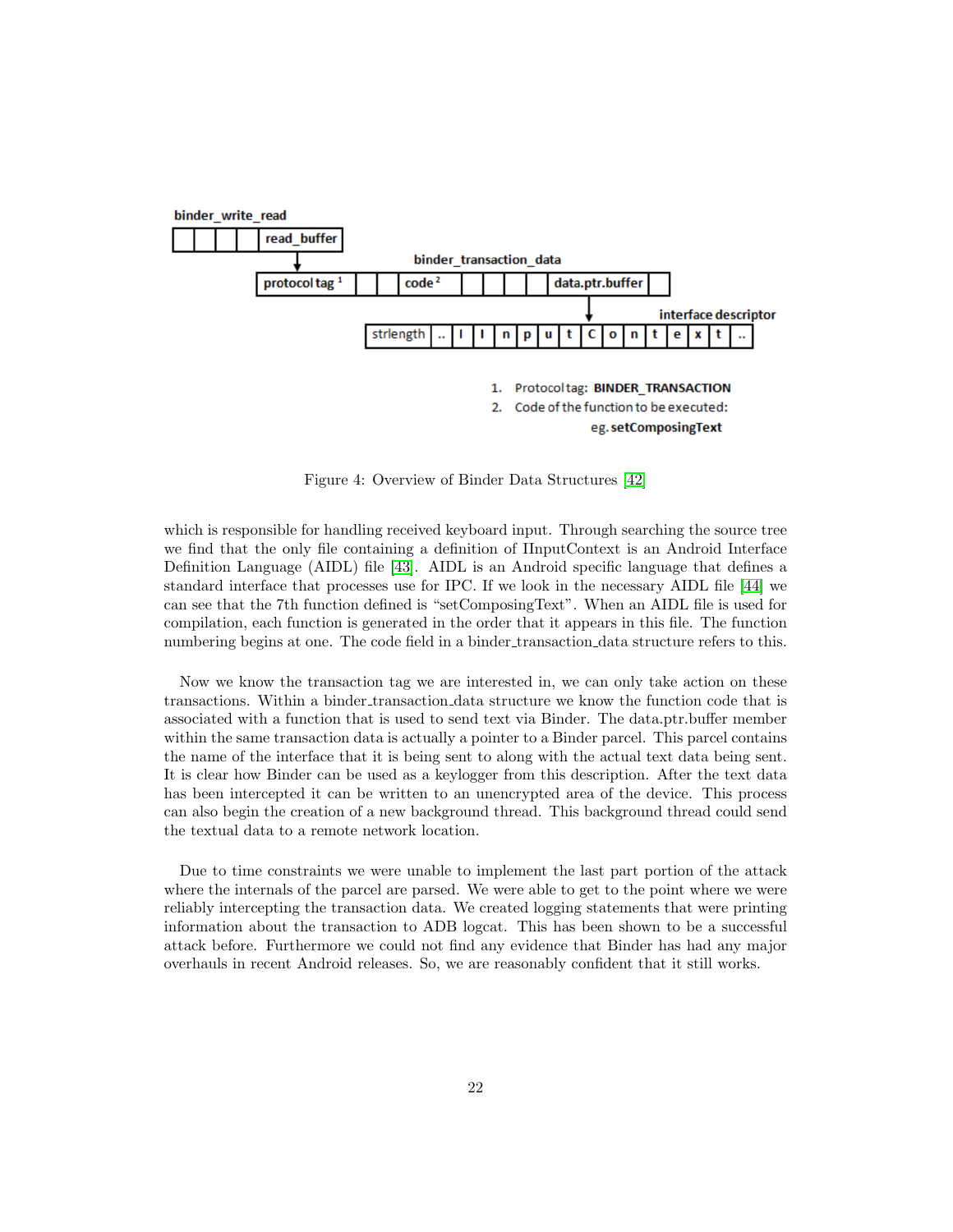

Figure 4: Overview of Binder Data Structures [\[42\]](#page-31-4)

which is responsible for handling received keyboard input. Through searching the source tree we find that the only file containing a definition of IInputContext is an Android Interface Definition Language (AIDL) file [\[43\]](#page-31-5). AIDL is an Android specific language that defines a standard interface that processes use for IPC. If we look in the necessary AIDL file [\[44\]](#page-31-6) we can see that the 7th function defined is "setComposingText". When an AIDL file is used for compilation, each function is generated in the order that it appears in this file. The function numbering begins at one. The code field in a binder transaction data structure refers to this.

Now we know the transaction tag we are interested in, we can only take action on these transactions. Within a binder transaction data structure we know the function code that is associated with a function that is used to send text via Binder. The data.ptr.buffer member within the same transaction data is actually a pointer to a Binder parcel. This parcel contains the name of the interface that it is being sent to along with the actual text data being sent. It is clear how Binder can be used as a keylogger from this description. After the text data has been intercepted it can be written to an unencrypted area of the device. This process can also begin the creation of a new background thread. This background thread could send the textual data to a remote network location.

Due to time constraints we were unable to implement the last part portion of the attack where the internals of the parcel are parsed. We were able to get to the point where we were reliably intercepting the transaction data. We created logging statements that were printing information about the transaction to ADB logcat. This has been shown to be a successful attack before. Furthermore we could not find any evidence that Binder has had any major overhauls in recent Android releases. So, we are reasonably confident that it still works.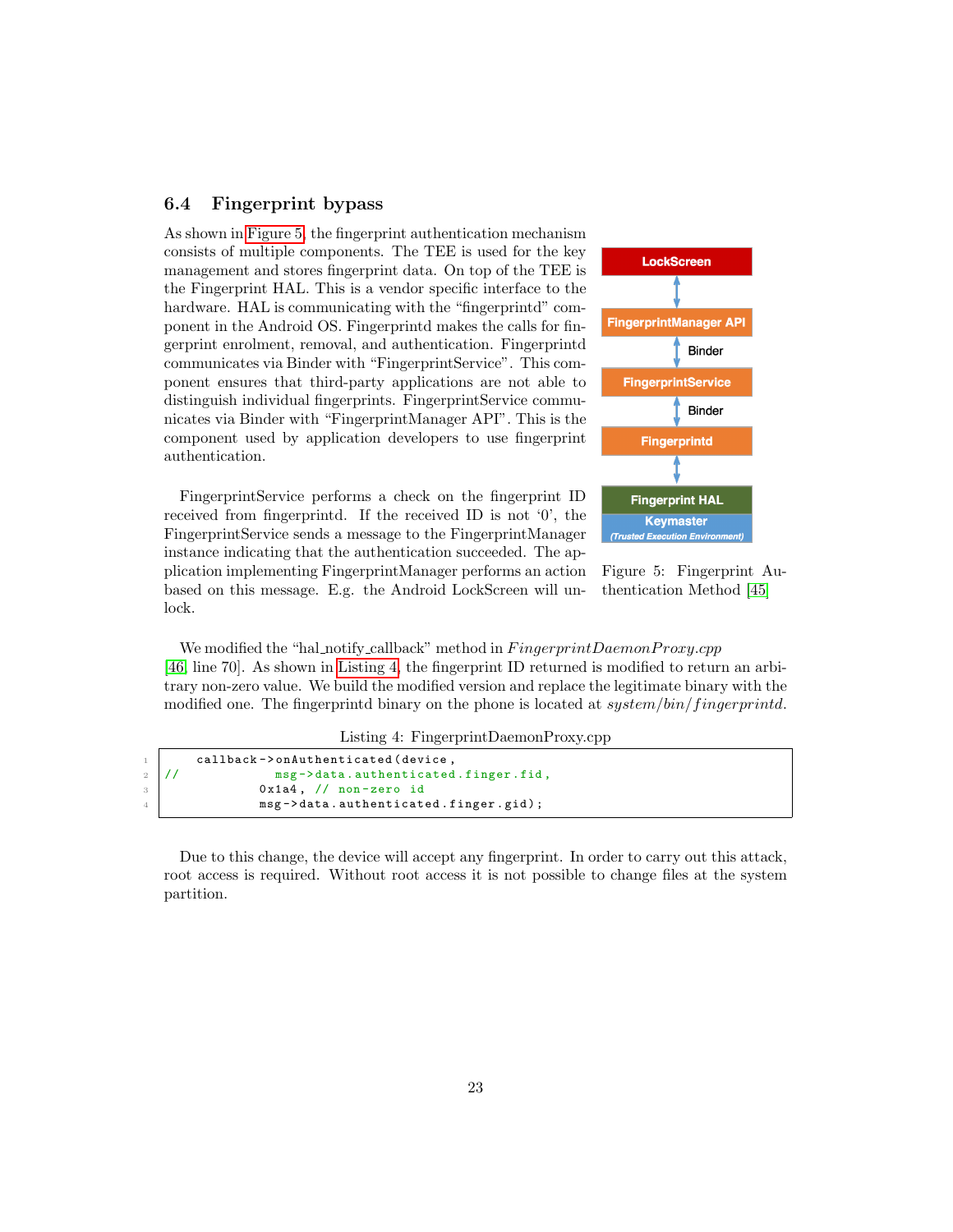#### <span id="page-23-0"></span>6.4 Fingerprint bypass

As shown in [Figure 5,](#page-23-1) the fingerprint authentication mechanism consists of multiple components. The TEE is used for the key management and stores fingerprint data. On top of the TEE is the Fingerprint HAL. This is a vendor specific interface to the hardware. HAL is communicating with the "fingerprintd" component in the Android OS. Fingerprintd makes the calls for fingerprint enrolment, removal, and authentication. Fingerprintd communicates via Binder with "FingerprintService". This component ensures that third-party applications are not able to distinguish individual fingerprints. FingerprintService communicates via Binder with "FingerprintManager API". This is the component used by application developers to use fingerprint authentication.

FingerprintService performs a check on the fingerprint ID received from fingerprintd. If the received ID is not '0', the FingerprintService sends a message to the FingerprintManager instance indicating that the authentication succeeded. The application implementing FingerprintManager performs an action based on this message. E.g. the Android LockScreen will unlock.



<span id="page-23-1"></span>Figure 5: Fingerprint Authentication Method [\[45\]](#page-31-7)

We modified the "hal\_notify\_callback" method in  $FingerprintDaemonProxy.cpp$ [\[46,](#page-31-8) line 70]. As shown in [Listing 4,](#page-23-2) the fingerprint ID returned is modified to return an arbitrary non-zero value. We build the modified version and replace the legitimate binary with the modified one. The fingerprintd binary on the phone is located at system/bin/fingerprintd.

Listing 4: FingerprintDaemonProxy.cpp

```
callback -> on Authenticated (device,
2 // msg->data.authenticated.finger.fid,
3 0x1a4, // non-zero id
             msg->data.authenticated.finger.gid);
```
Due to this change, the device will accept any fingerprint. In order to carry out this attack, root access is required. Without root access it is not possible to change files at the system partition.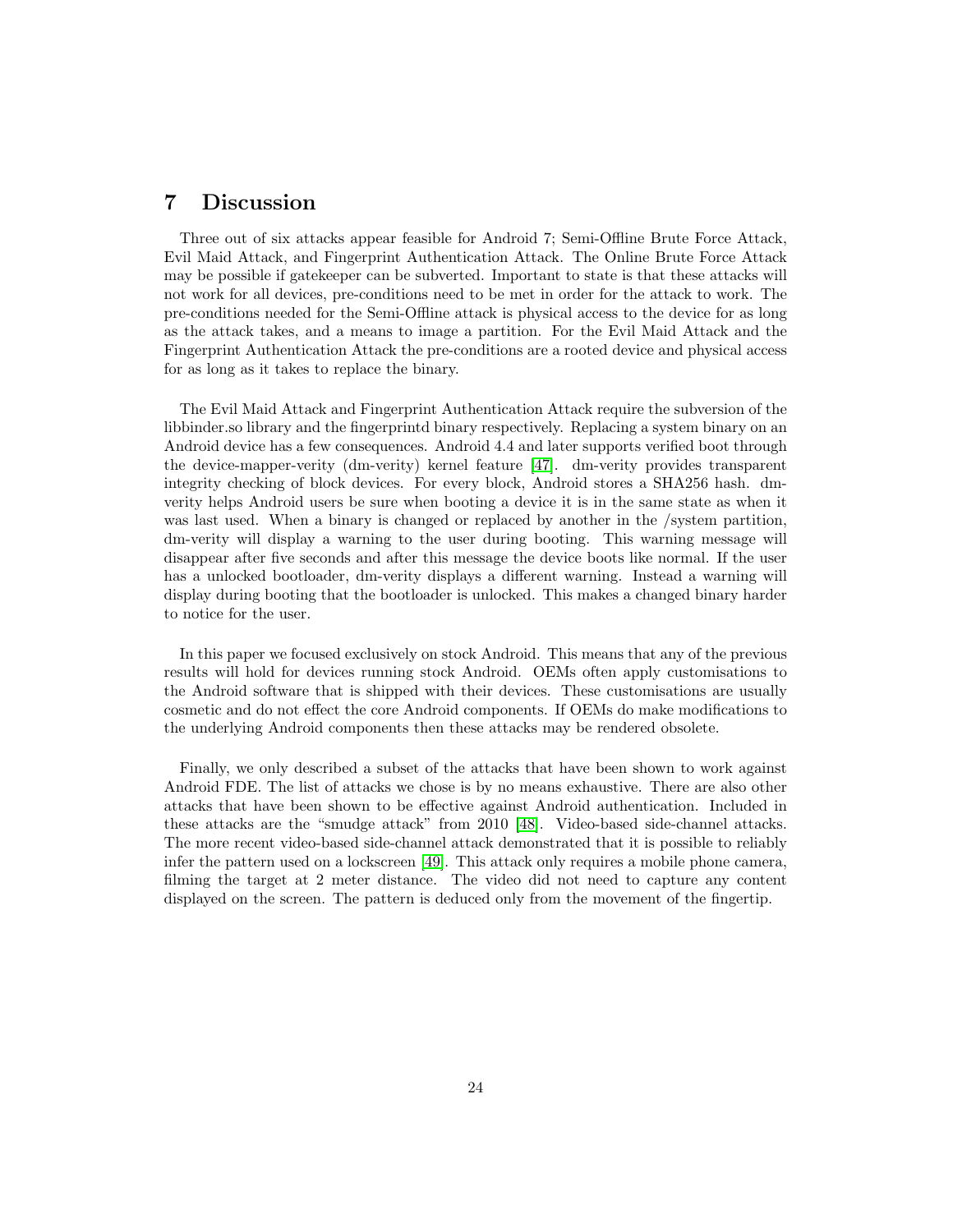## <span id="page-24-0"></span>7 Discussion

Three out of six attacks appear feasible for Android 7; Semi-Offline Brute Force Attack, Evil Maid Attack, and Fingerprint Authentication Attack. The Online Brute Force Attack may be possible if gatekeeper can be subverted. Important to state is that these attacks will not work for all devices, pre-conditions need to be met in order for the attack to work. The pre-conditions needed for the Semi-Offline attack is physical access to the device for as long as the attack takes, and a means to image a partition. For the Evil Maid Attack and the Fingerprint Authentication Attack the pre-conditions are a rooted device and physical access for as long as it takes to replace the binary.

The Evil Maid Attack and Fingerprint Authentication Attack require the subversion of the libbinder.so library and the fingerprintd binary respectively. Replacing a system binary on an Android device has a few consequences. Android 4.4 and later supports verified boot through the device-mapper-verity (dm-verity) kernel feature [\[47\]](#page-31-9). dm-verity provides transparent integrity checking of block devices. For every block, Android stores a SHA256 hash. dmverity helps Android users be sure when booting a device it is in the same state as when it was last used. When a binary is changed or replaced by another in the /system partition, dm-verity will display a warning to the user during booting. This warning message will disappear after five seconds and after this message the device boots like normal. If the user has a unlocked bootloader, dm-verity displays a different warning. Instead a warning will display during booting that the bootloader is unlocked. This makes a changed binary harder to notice for the user.

In this paper we focused exclusively on stock Android. This means that any of the previous results will hold for devices running stock Android. OEMs often apply customisations to the Android software that is shipped with their devices. These customisations are usually cosmetic and do not effect the core Android components. If OEMs do make modifications to the underlying Android components then these attacks may be rendered obsolete.

Finally, we only described a subset of the attacks that have been shown to work against Android FDE. The list of attacks we chose is by no means exhaustive. There are also other attacks that have been shown to be effective against Android authentication. Included in these attacks are the "smudge attack" from 2010 [\[48\]](#page-31-10). Video-based side-channel attacks. The more recent video-based side-channel attack demonstrated that it is possible to reliably infer the pattern used on a lockscreen [\[49\]](#page-31-11). This attack only requires a mobile phone camera, filming the target at 2 meter distance. The video did not need to capture any content displayed on the screen. The pattern is deduced only from the movement of the fingertip.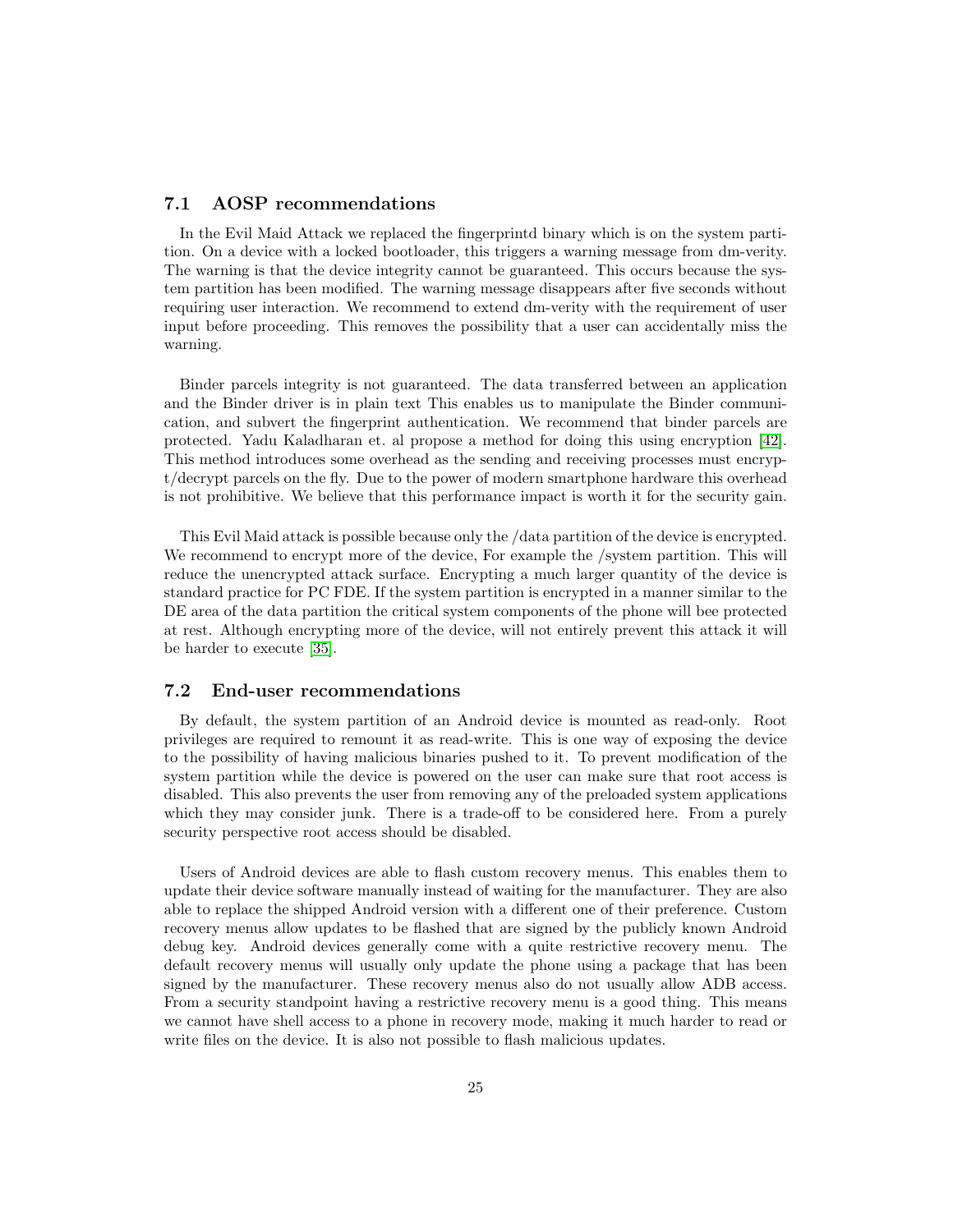### <span id="page-25-0"></span>7.1 AOSP recommendations

In the Evil Maid Attack we replaced the fingerprintd binary which is on the system partition. On a device with a locked bootloader, this triggers a warning message from dm-verity. The warning is that the device integrity cannot be guaranteed. This occurs because the system partition has been modified. The warning message disappears after five seconds without requiring user interaction. We recommend to extend dm-verity with the requirement of user input before proceeding. This removes the possibility that a user can accidentally miss the warning.

Binder parcels integrity is not guaranteed. The data transferred between an application and the Binder driver is in plain text This enables us to manipulate the Binder communication, and subvert the fingerprint authentication. We recommend that binder parcels are protected. Yadu Kaladharan et. al propose a method for doing this using encryption [\[42\]](#page-31-4). This method introduces some overhead as the sending and receiving processes must encrypt/decrypt parcels on the fly. Due to the power of modern smartphone hardware this overhead is not prohibitive. We believe that this performance impact is worth it for the security gain.

This Evil Maid attack is possible because only the /data partition of the device is encrypted. We recommend to encrypt more of the device, For example the /system partition. This will reduce the unencrypted attack surface. Encrypting a much larger quantity of the device is standard practice for PC FDE. If the system partition is encrypted in a manner similar to the DE area of the data partition the critical system components of the phone will bee protected at rest. Although encrypting more of the device, will not entirely prevent this attack it will be harder to execute [\[35\]](#page-30-9).

#### <span id="page-25-1"></span>7.2 End-user recommendations

By default, the system partition of an Android device is mounted as read-only. Root privileges are required to remount it as read-write. This is one way of exposing the device to the possibility of having malicious binaries pushed to it. To prevent modification of the system partition while the device is powered on the user can make sure that root access is disabled. This also prevents the user from removing any of the preloaded system applications which they may consider junk. There is a trade-off to be considered here. From a purely security perspective root access should be disabled.

Users of Android devices are able to flash custom recovery menus. This enables them to update their device software manually instead of waiting for the manufacturer. They are also able to replace the shipped Android version with a different one of their preference. Custom recovery menus allow updates to be flashed that are signed by the publicly known Android debug key. Android devices generally come with a quite restrictive recovery menu. The default recovery menus will usually only update the phone using a package that has been signed by the manufacturer. These recovery menus also do not usually allow ADB access. From a security standpoint having a restrictive recovery menu is a good thing. This means we cannot have shell access to a phone in recovery mode, making it much harder to read or write files on the device. It is also not possible to flash malicious updates.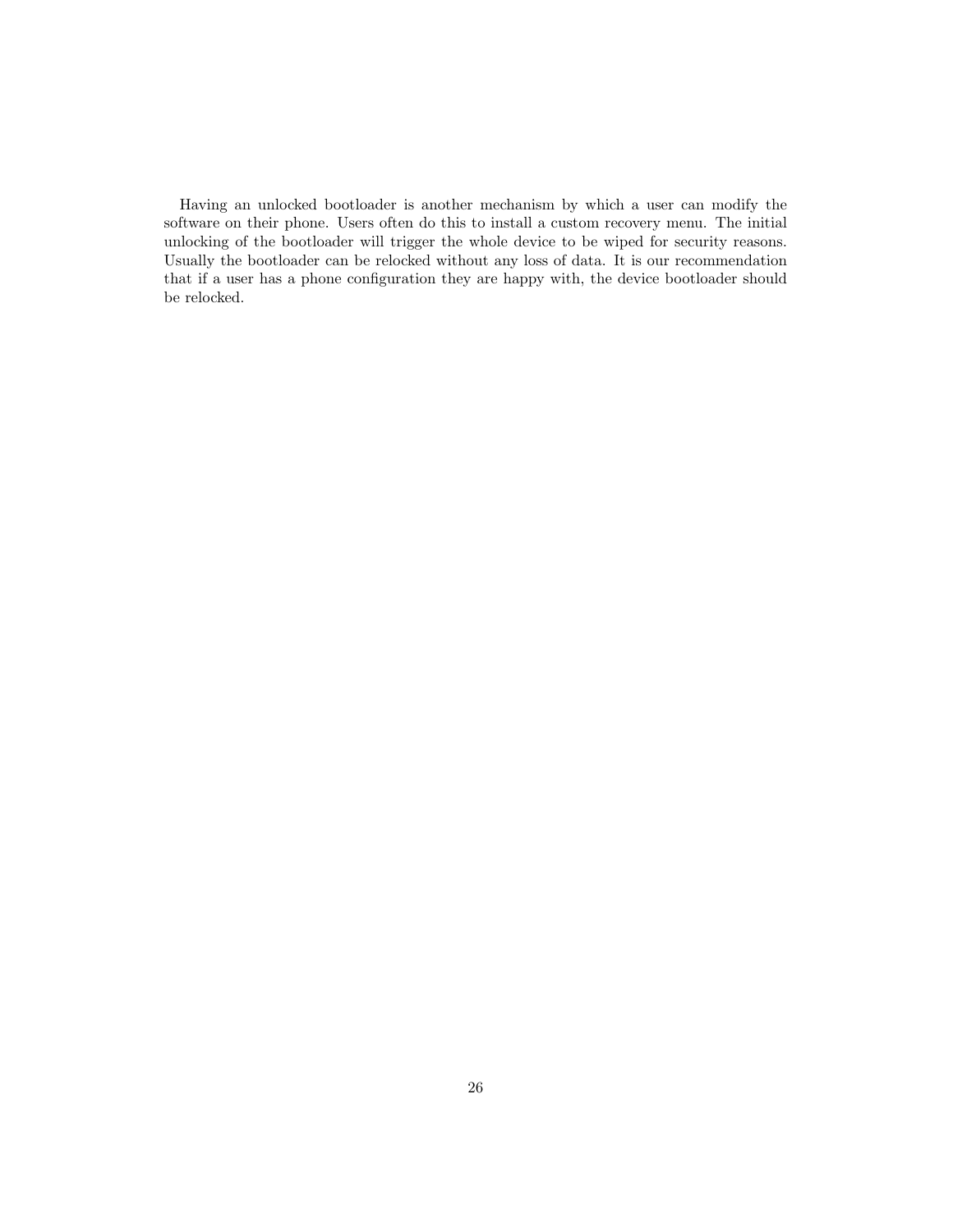Having an unlocked bootloader is another mechanism by which a user can modify the software on their phone. Users often do this to install a custom recovery menu. The initial unlocking of the bootloader will trigger the whole device to be wiped for security reasons. Usually the bootloader can be relocked without any loss of data. It is our recommendation that if a user has a phone configuration they are happy with, the device bootloader should be relocked.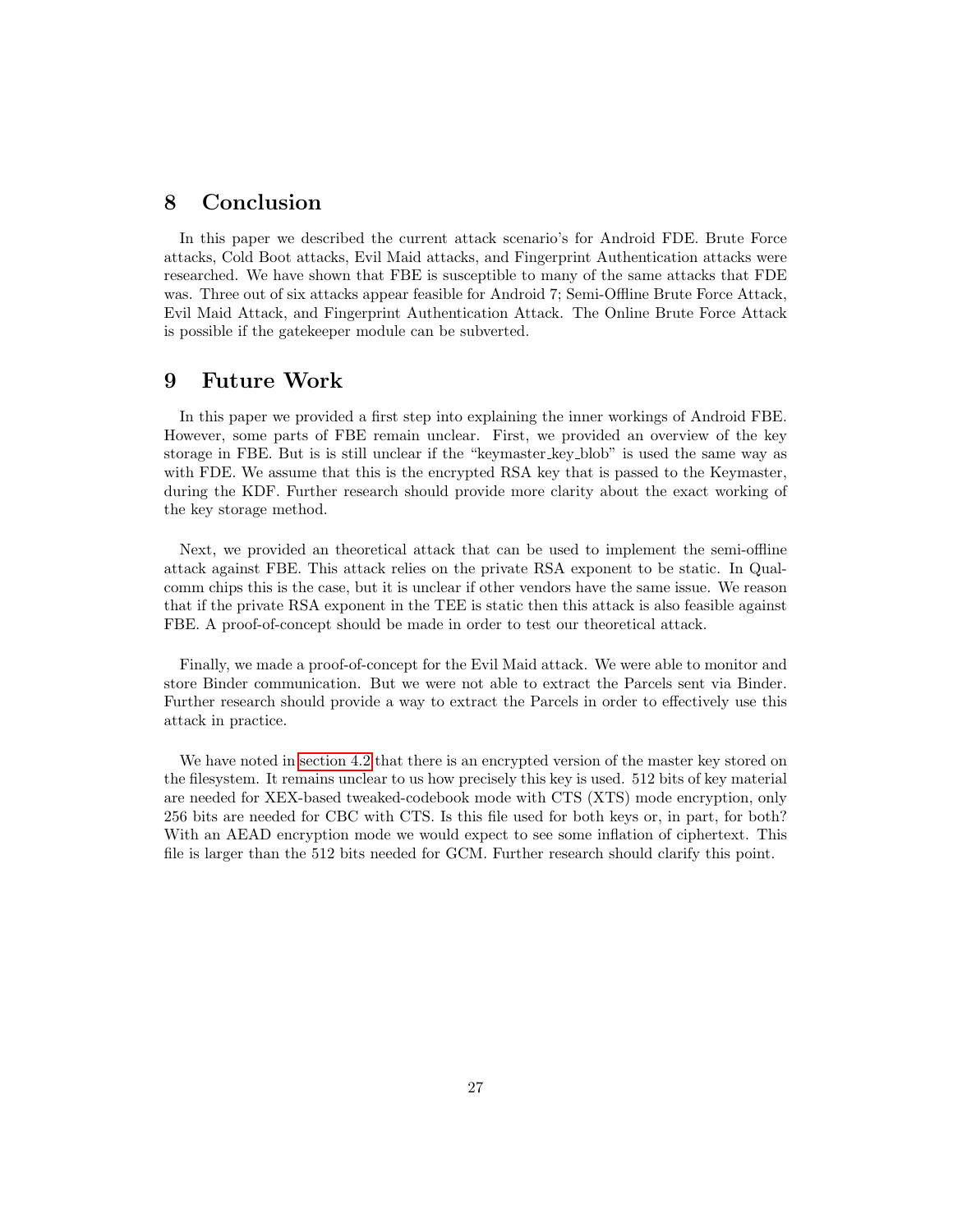## <span id="page-27-0"></span>8 Conclusion

In this paper we described the current attack scenario's for Android FDE. Brute Force attacks, Cold Boot attacks, Evil Maid attacks, and Fingerprint Authentication attacks were researched. We have shown that FBE is susceptible to many of the same attacks that FDE was. Three out of six attacks appear feasible for Android 7; Semi-Offline Brute Force Attack, Evil Maid Attack, and Fingerprint Authentication Attack. The Online Brute Force Attack is possible if the gatekeeper module can be subverted.

## <span id="page-27-1"></span>9 Future Work

In this paper we provided a first step into explaining the inner workings of Android FBE. However, some parts of FBE remain unclear. First, we provided an overview of the key storage in FBE. But is is still unclear if the "keymaster key blob" is used the same way as with FDE. We assume that this is the encrypted RSA key that is passed to the Keymaster. during the KDF. Further research should provide more clarity about the exact working of the key storage method.

Next, we provided an theoretical attack that can be used to implement the semi-offline attack against FBE. This attack relies on the private RSA exponent to be static. In Qualcomm chips this is the case, but it is unclear if other vendors have the same issue. We reason that if the private RSA exponent in the TEE is static then this attack is also feasible against FBE. A proof-of-concept should be made in order to test our theoretical attack.

Finally, we made a proof-of-concept for the Evil Maid attack. We were able to monitor and store Binder communication. But we were not able to extract the Parcels sent via Binder. Further research should provide a way to extract the Parcels in order to effectively use this attack in practice.

We have noted in [section 4.2](#page-10-1) that there is an encrypted version of the master key stored on the filesystem. It remains unclear to us how precisely this key is used. 512 bits of key material are needed for XEX-based tweaked-codebook mode with CTS (XTS) mode encryption, only 256 bits are needed for CBC with CTS. Is this file used for both keys or, in part, for both? With an AEAD encryption mode we would expect to see some inflation of ciphertext. This file is larger than the 512 bits needed for GCM. Further research should clarify this point.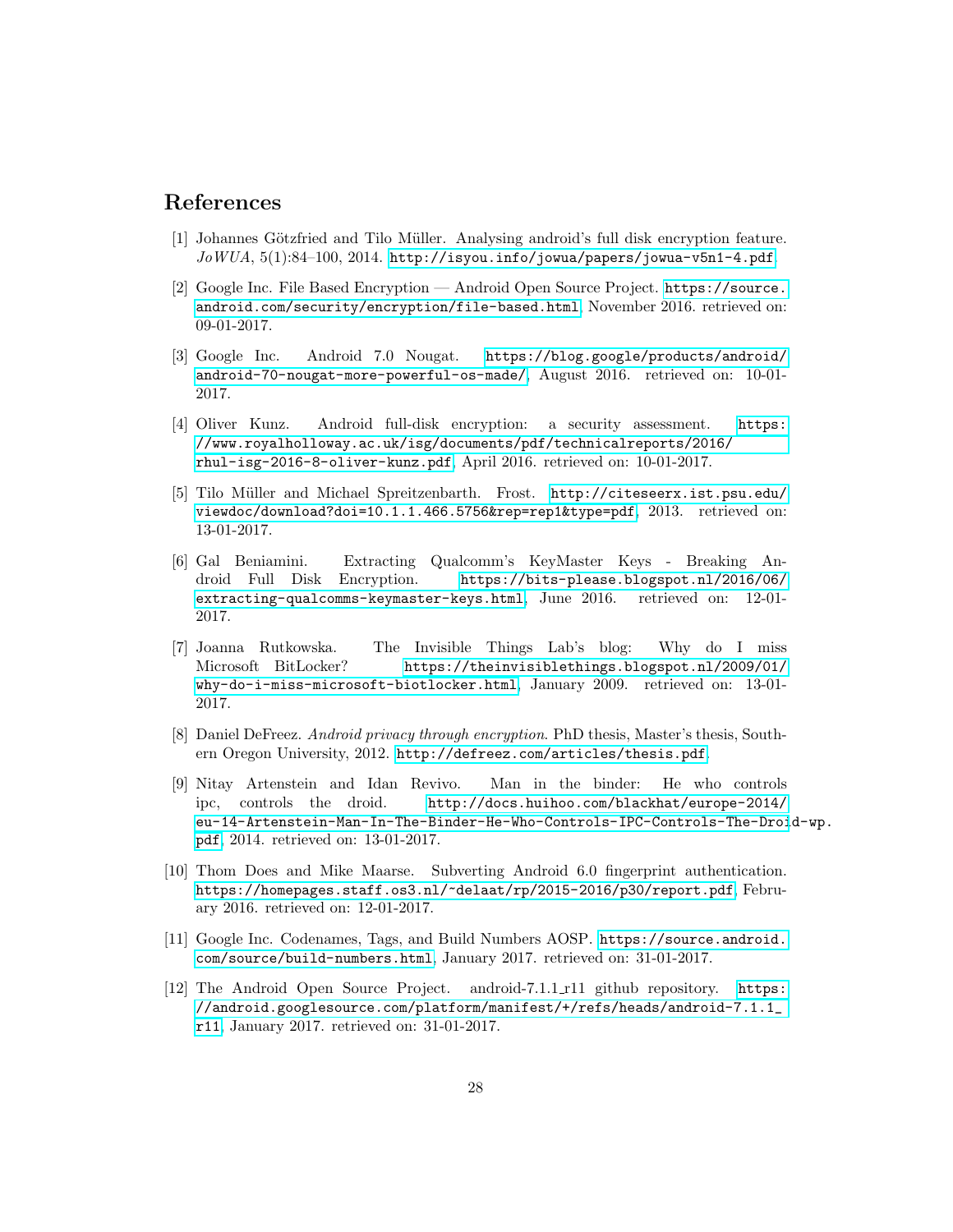## References

- <span id="page-28-0"></span>[1] Johannes Götzfried and Tilo Müller. Analysing android's full disk encryption feature.  $J\sigma WUA$ , 5(1):84-100, 2014. <http://isyou.info/jowua/papers/jowua-v5n1-4.pdf>.
- <span id="page-28-1"></span>[2] Google Inc. File Based Encryption — Android Open Source Project. [https://source.](https://source.android.com/security/encryption/file-based.html) [android.com/security/encryption/file-based.html](https://source.android.com/security/encryption/file-based.html), November 2016. retrieved on: 09-01-2017.
- <span id="page-28-2"></span>[3] Google Inc. Android 7.0 Nougat. [https://blog.google/products/android/](https://blog.google/products/android/android-70-nougat-more-powerful-os-made/) [android-70-nougat-more-powerful-os-made/](https://blog.google/products/android/android-70-nougat-more-powerful-os-made/), August 2016. retrieved on: 10-01- 2017.
- <span id="page-28-3"></span>[4] Oliver Kunz. Android full-disk encryption: a security assessment. [https:](https://www.royalholloway.ac.uk/isg/documents/pdf/technicalreports/2016/rhul-isg-2016-8-oliver-kunz.pdf) [//www.royalholloway.ac.uk/isg/documents/pdf/technicalreports/2016/](https://www.royalholloway.ac.uk/isg/documents/pdf/technicalreports/2016/rhul-isg-2016-8-oliver-kunz.pdf) [rhul-isg-2016-8-oliver-kunz.pdf](https://www.royalholloway.ac.uk/isg/documents/pdf/technicalreports/2016/rhul-isg-2016-8-oliver-kunz.pdf), April 2016. retrieved on: 10-01-2017.
- <span id="page-28-4"></span>[5] Tilo Müller and Michael Spreitzenbarth. Frost. [http://citeseerx.ist.psu.edu/](http://citeseerx.ist.psu.edu/viewdoc/download?doi=10.1.1.466.5756&rep=rep1&type=pdf) [viewdoc/download?doi=10.1.1.466.5756&rep=rep1&type=pdf](http://citeseerx.ist.psu.edu/viewdoc/download?doi=10.1.1.466.5756&rep=rep1&type=pdf), 2013. retrieved on: 13-01-2017.
- <span id="page-28-5"></span>[6] Gal Beniamini. Extracting Qualcomm's KeyMaster Keys - Breaking Android Full Disk Encryption. [https://bits-please.blogspot.nl/2016/06/](https://bits-please.blogspot.nl/2016/06/extracting-qualcomms-keymaster-keys.html) [extracting-qualcomms-keymaster-keys.html](https://bits-please.blogspot.nl/2016/06/extracting-qualcomms-keymaster-keys.html), June 2016. retrieved on: 12-01- 2017.
- <span id="page-28-6"></span>[7] Joanna Rutkowska. The Invisible Things Lab's blog: Why do I miss Microsoft BitLocker? [https://theinvisiblethings.blogspot.nl/2009/01/](https://theinvisiblethings.blogspot.nl/2009/01/why-do-i-miss-microsoft-biotlocker.html) [why-do-i-miss-microsoft-biotlocker.html](https://theinvisiblethings.blogspot.nl/2009/01/why-do-i-miss-microsoft-biotlocker.html), January 2009. retrieved on: 13-01- 2017.
- <span id="page-28-7"></span>[8] Daniel DeFreez. Android privacy through encryption. PhD thesis, Master's thesis, Southern Oregon University, 2012. <http://defreez.com/articles/thesis.pdf>.
- <span id="page-28-8"></span>[9] Nitay Artenstein and Idan Revivo. Man in the binder: He who controls ipc, controls the droid. [http://docs.huihoo.com/blackhat/europe-2014/](http://docs.huihoo.com/blackhat/europe-2014/eu-14-Artenstein-Man-In-The-Binder-He-Who-Controls-IPC-Controls-The-Droid-wp.pdf) [eu-14-Artenstein-Man-In-The-Binder-He-Who-Controls-IPC-Controls-The-Droi](http://docs.huihoo.com/blackhat/europe-2014/eu-14-Artenstein-Man-In-The-Binder-He-Who-Controls-IPC-Controls-The-Droid-wp.pdf)d-wp. [pdf](http://docs.huihoo.com/blackhat/europe-2014/eu-14-Artenstein-Man-In-The-Binder-He-Who-Controls-IPC-Controls-The-Droid-wp.pdf), 2014. retrieved on: 13-01-2017.
- <span id="page-28-9"></span>[10] Thom Does and Mike Maarse. Subverting Android 6.0 fingerprint authentication. <https://homepages.staff.os3.nl/~delaat/rp/2015-2016/p30/report.pdf>, February 2016. retrieved on: 12-01-2017.
- <span id="page-28-10"></span>[11] Google Inc. Codenames, Tags, and Build Numbers AOSP. [https://source.android.](https://source.android.com/source/build-numbers.html) [com/source/build-numbers.html](https://source.android.com/source/build-numbers.html), January 2017. retrieved on: 31-01-2017.
- <span id="page-28-11"></span>[12] The Android Open Source Project. android-7.1.1 r11 github repository. [https:](https://android.googlesource.com/platform/manifest/+/refs/heads/android-7.1.1_r11) [//android.googlesource.com/platform/manifest/+/refs/heads/android-7.1.1\\_](https://android.googlesource.com/platform/manifest/+/refs/heads/android-7.1.1_r11) [r11](https://android.googlesource.com/platform/manifest/+/refs/heads/android-7.1.1_r11), January 2017. retrieved on: 31-01-2017.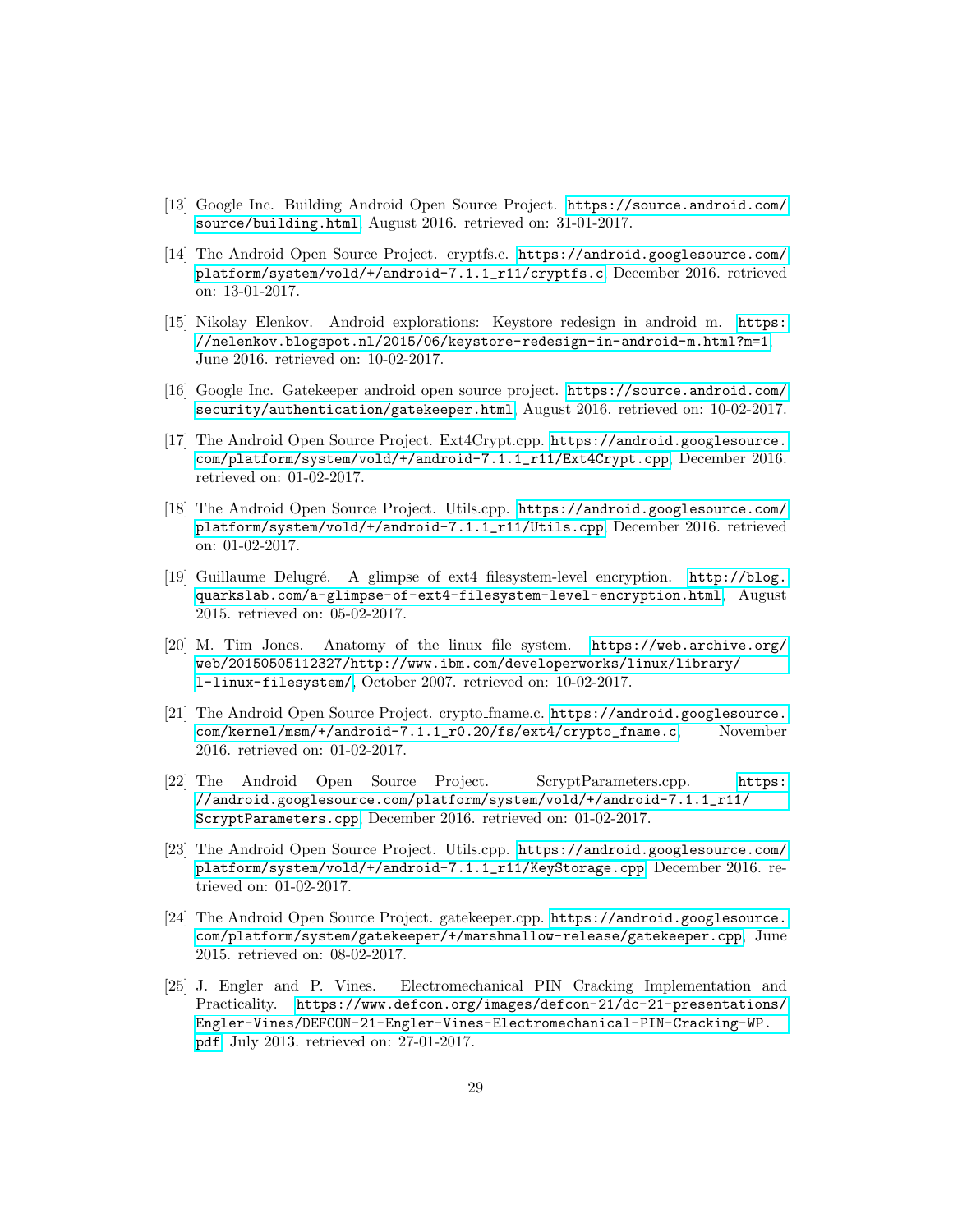- <span id="page-29-0"></span>[13] Google Inc. Building Android Open Source Project. [https://source.android.com/](https://source.android.com/source/building.html) [source/building.html](https://source.android.com/source/building.html), August 2016. retrieved on: 31-01-2017.
- <span id="page-29-1"></span>[14] The Android Open Source Project. cryptfs.c. [https://android.googlesource.com/](https://android.googlesource.com/platform/system/vold/+/android-7.1.1_r11/cryptfs.c) [platform/system/vold/+/android-7.1.1\\_r11/cryptfs.c](https://android.googlesource.com/platform/system/vold/+/android-7.1.1_r11/cryptfs.c), December 2016. retrieved on: 13-01-2017.
- <span id="page-29-2"></span>[15] Nikolay Elenkov. Android explorations: Keystore redesign in android m. [https:](https://nelenkov.blogspot.nl/2015/06/keystore-redesign-in-android-m.html?m=1) [//nelenkov.blogspot.nl/2015/06/keystore-redesign-in-android-m.html?m=1](https://nelenkov.blogspot.nl/2015/06/keystore-redesign-in-android-m.html?m=1), June 2016. retrieved on: 10-02-2017.
- <span id="page-29-3"></span>[16] Google Inc. Gatekeeper android open source project. [https://source.android.com/](https://source.android.com/security/authentication/gatekeeper.html) [security/authentication/gatekeeper.html](https://source.android.com/security/authentication/gatekeeper.html), August 2016. retrieved on: 10-02-2017.
- <span id="page-29-4"></span>[17] The Android Open Source Project. Ext4Crypt.cpp. [https://android.googlesource.](https://android.googlesource.com/platform/system/vold/+/android-7.1.1_r11/Ext4Crypt.cpp) [com/platform/system/vold/+/android-7.1.1\\_r11/Ext4Crypt.cpp](https://android.googlesource.com/platform/system/vold/+/android-7.1.1_r11/Ext4Crypt.cpp), December 2016. retrieved on: 01-02-2017.
- <span id="page-29-5"></span>[18] The Android Open Source Project. Utils.cpp. [https://android.googlesource.com/](https://android.googlesource.com/platform/system/vold/+/android-7.1.1_r11/Utils.cpp) [platform/system/vold/+/android-7.1.1\\_r11/Utils.cpp](https://android.googlesource.com/platform/system/vold/+/android-7.1.1_r11/Utils.cpp), December 2016. retrieved on: 01-02-2017.
- <span id="page-29-6"></span>[19] Guillaume Delugr´e. A glimpse of ext4 filesystem-level encryption. [http://blog.](http://blog.quarkslab.com/a-glimpse-of-ext4-filesystem-level-encryption.html) [quarkslab.com/a-glimpse-of-ext4-filesystem-level-encryption.html](http://blog.quarkslab.com/a-glimpse-of-ext4-filesystem-level-encryption.html), August 2015. retrieved on: 05-02-2017.
- <span id="page-29-7"></span>[20] M. Tim Jones. Anatomy of the linux file system. [https://web.archive.org/](https://web.archive.org/web/20150505112327/http://www.ibm.com/developerworks/linux/library/l-linux-filesystem/) [web/20150505112327/http://www.ibm.com/developerworks/linux/library/](https://web.archive.org/web/20150505112327/http://www.ibm.com/developerworks/linux/library/l-linux-filesystem/) [l-linux-filesystem/](https://web.archive.org/web/20150505112327/http://www.ibm.com/developerworks/linux/library/l-linux-filesystem/), October 2007. retrieved on: 10-02-2017.
- <span id="page-29-8"></span>[21] The Android Open Source Project. crypto fname.c. [https://android.googlesource.](https://android.googlesource.com/kernel/msm/+/android-7.1.1_r0.20/fs/ext4/crypto_fname.c) [com/kernel/msm/+/android-7.1.1\\_r0.20/fs/ext4/crypto\\_fname.c](https://android.googlesource.com/kernel/msm/+/android-7.1.1_r0.20/fs/ext4/crypto_fname.c), November 2016. retrieved on: 01-02-2017.
- <span id="page-29-9"></span>[22] The Android Open Source Project. ScryptParameters.cpp. [https:](https://android.googlesource.com/platform/system/vold/+/android-7.1.1_r11/ScryptParameters.cpp) [//android.googlesource.com/platform/system/vold/+/android-7.1.1\\_r11/](https://android.googlesource.com/platform/system/vold/+/android-7.1.1_r11/ScryptParameters.cpp) [ScryptParameters.cpp](https://android.googlesource.com/platform/system/vold/+/android-7.1.1_r11/ScryptParameters.cpp), December 2016. retrieved on: 01-02-2017.
- <span id="page-29-10"></span>[23] The Android Open Source Project. Utils.cpp. [https://android.googlesource.com/](https://android.googlesource.com/platform/system/vold/+/android-7.1.1_r11/KeyStorage.cpp) [platform/system/vold/+/android-7.1.1\\_r11/KeyStorage.cpp](https://android.googlesource.com/platform/system/vold/+/android-7.1.1_r11/KeyStorage.cpp), December 2016. retrieved on: 01-02-2017.
- <span id="page-29-11"></span>[24] The Android Open Source Project. gatekeeper.cpp. [https://android.googlesource.](https://android.googlesource.com/platform/system/gatekeeper/+/marshmallow-release/gatekeeper.cpp) [com/platform/system/gatekeeper/+/marshmallow-release/gatekeeper.cpp](https://android.googlesource.com/platform/system/gatekeeper/+/marshmallow-release/gatekeeper.cpp), June 2015. retrieved on: 08-02-2017.
- <span id="page-29-12"></span>[25] J. Engler and P. Vines. Electromechanical PIN Cracking Implementation and Practicality. [https://www.defcon.org/images/defcon-21/dc-21-presentations/](https://www.defcon.org/images/defcon-21/dc-21-presentations/Engler-Vines/DEFCON-21-Engler-Vines-Electromechanical-PIN-Cracking-WP.pdf) [Engler-Vines/DEFCON-21-Engler-Vines-Electromechanical-PIN-Cracking-WP.](https://www.defcon.org/images/defcon-21/dc-21-presentations/Engler-Vines/DEFCON-21-Engler-Vines-Electromechanical-PIN-Cracking-WP.pdf) [pdf](https://www.defcon.org/images/defcon-21/dc-21-presentations/Engler-Vines/DEFCON-21-Engler-Vines-Electromechanical-PIN-Cracking-WP.pdf), July 2013. retrieved on: 27-01-2017.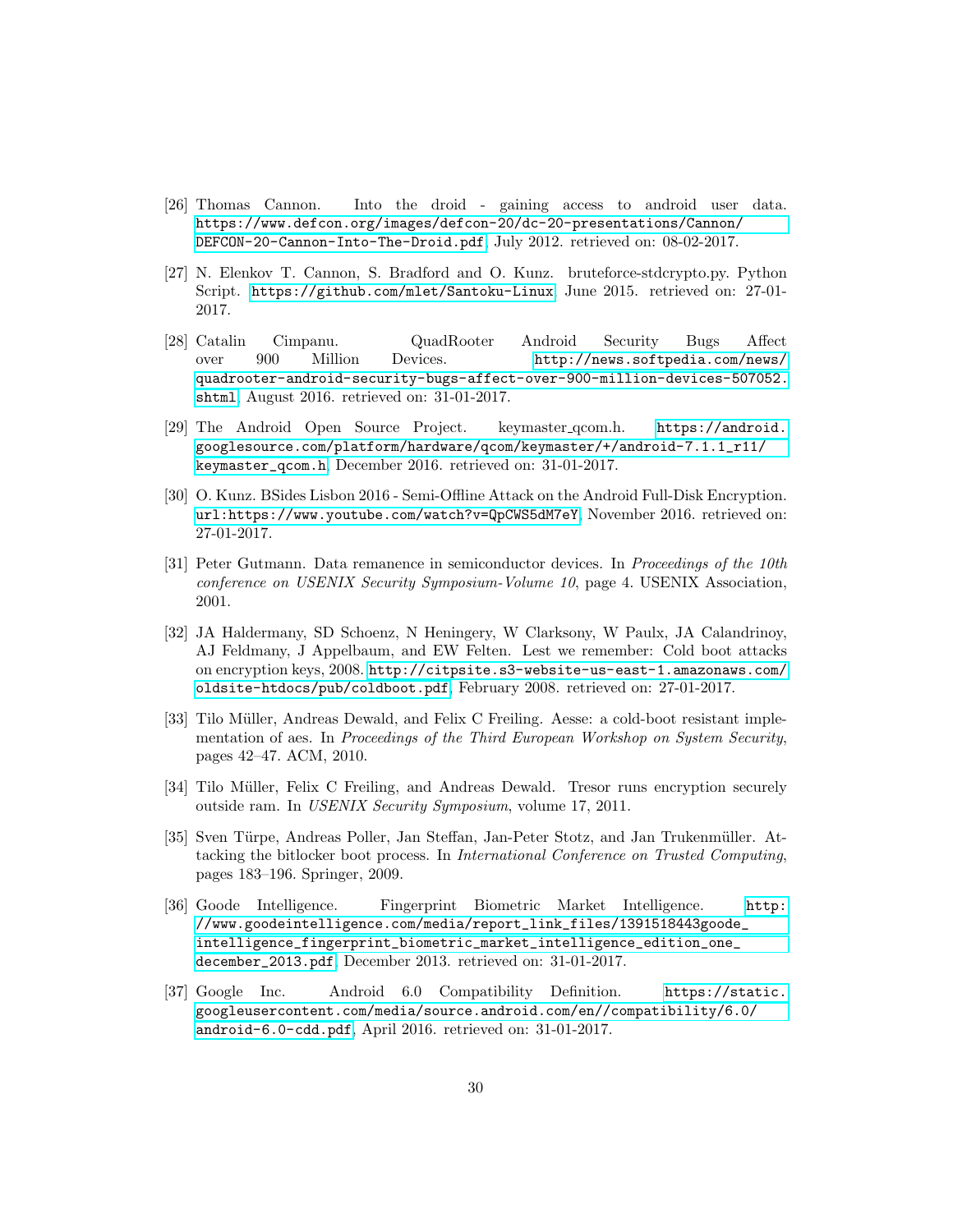- <span id="page-30-0"></span>[26] Thomas Cannon. Into the droid - gaining access to android user data. [https://www.defcon.org/images/defcon-20/dc-20-presentations/Cannon/](https://www.defcon.org/images/defcon-20/dc-20-presentations/Cannon/DEFCON-20-Cannon-Into-The-Droid.pdf) [DEFCON-20-Cannon-Into-The-Droid.pdf](https://www.defcon.org/images/defcon-20/dc-20-presentations/Cannon/DEFCON-20-Cannon-Into-The-Droid.pdf), July 2012. retrieved on: 08-02-2017.
- <span id="page-30-1"></span>[27] N. Elenkov T. Cannon, S. Bradford and O. Kunz. bruteforce-stdcrypto.py. Python Script. <https://github.com/mlet/Santoku-Linux>, June 2015. retrieved on: 27-01- 2017.
- <span id="page-30-2"></span>[28] Catalin Cimpanu. QuadRooter Android Security Bugs Affect over 900 Million Devices. [http://news.softpedia.com/news/](http://news.softpedia.com/news/quadrooter-android-security-bugs-affect-over-900-million-devices-507052.shtml) [quadrooter-android-security-bugs-affect-over-900-million-devices-507052.](http://news.softpedia.com/news/quadrooter-android-security-bugs-affect-over-900-million-devices-507052.shtml) [shtml](http://news.softpedia.com/news/quadrooter-android-security-bugs-affect-over-900-million-devices-507052.shtml), August 2016. retrieved on: 31-01-2017.
- <span id="page-30-3"></span>[29] The Android Open Source Project. keymaster\_qcom.h. [https://android.](https://android.googlesource.com/platform/hardware/qcom/keymaster/+/android-7.1.1_r11/keymaster_qcom.h) [googlesource.com/platform/hardware/qcom/keymaster/+/android-7.1.1\\_r11/](https://android.googlesource.com/platform/hardware/qcom/keymaster/+/android-7.1.1_r11/keymaster_qcom.h) [keymaster\\_qcom.h](https://android.googlesource.com/platform/hardware/qcom/keymaster/+/android-7.1.1_r11/keymaster_qcom.h), December 2016. retrieved on: 31-01-2017.
- <span id="page-30-4"></span>[30] O. Kunz. BSides Lisbon 2016 - Semi-Offline Attack on the Android Full-Disk Encryption. [url:https://www.youtube.com/watch?v=QpCWS5dM7eY](url: https://www.youtube.com/watch?v=QpCWS5dM7eY), November 2016. retrieved on: 27-01-2017.
- <span id="page-30-5"></span>[31] Peter Gutmann. Data remanence in semiconductor devices. In Proceedings of the 10th conference on USENIX Security Symposium-Volume 10, page 4. USENIX Association, 2001.
- <span id="page-30-6"></span>[32] JA Haldermany, SD Schoenz, N Heningery, W Clarksony, W Paulx, JA Calandrinoy, AJ Feldmany, J Appelbaum, and EW Felten. Lest we remember: Cold boot attacks on encryption keys, 2008. [http://citpsite.s3-website-us-east-1.amazonaws.com/](http://citpsite.s3-website-us-east-1.amazonaws.com/oldsite-htdocs/pub/coldboot.pdf) [oldsite-htdocs/pub/coldboot.pdf](http://citpsite.s3-website-us-east-1.amazonaws.com/oldsite-htdocs/pub/coldboot.pdf), February 2008. retrieved on: 27-01-2017.
- <span id="page-30-7"></span>[33] Tilo Müller, Andreas Dewald, and Felix C Freiling. Aesse: a cold-boot resistant implementation of aes. In Proceedings of the Third European Workshop on System Security, pages 42–47. ACM, 2010.
- <span id="page-30-8"></span>[34] Tilo Müller, Felix C Freiling, and Andreas Dewald. Tresor runs encryption securely outside ram. In USENIX Security Symposium, volume 17, 2011.
- <span id="page-30-9"></span>[35] Sven Türpe, Andreas Poller, Jan Steffan, Jan-Peter Stotz, and Jan Trukenmüller. Attacking the bitlocker boot process. In International Conference on Trusted Computing, pages 183–196. Springer, 2009.
- <span id="page-30-10"></span>[36] Goode Intelligence. Fingerprint Biometric Market Intelligence. [http:](http://www.goodeintelligence.com/media/report_link_files/1391518443goode_intelligence_fingerprint_biometric_market_intelligence_edition_one_december_2013.pdf) [//www.goodeintelligence.com/media/report\\_link\\_files/1391518443goode\\_](http://www.goodeintelligence.com/media/report_link_files/1391518443goode_intelligence_fingerprint_biometric_market_intelligence_edition_one_december_2013.pdf) [intelligence\\_fingerprint\\_biometric\\_market\\_intelligence\\_edition\\_one\\_](http://www.goodeintelligence.com/media/report_link_files/1391518443goode_intelligence_fingerprint_biometric_market_intelligence_edition_one_december_2013.pdf) [december\\_2013.pdf](http://www.goodeintelligence.com/media/report_link_files/1391518443goode_intelligence_fingerprint_biometric_market_intelligence_edition_one_december_2013.pdf), December 2013. retrieved on: 31-01-2017.
- <span id="page-30-11"></span>[37] Google Inc. Android 6.0 Compatibility Definition. [https://static.](https://static.googleusercontent.com/media/source.android.com/en//compatibility/6.0/android-6.0-cdd.pdf) [googleusercontent.com/media/source.android.com/en//compatibility/6.0/](https://static.googleusercontent.com/media/source.android.com/en//compatibility/6.0/android-6.0-cdd.pdf) [android-6.0-cdd.pdf](https://static.googleusercontent.com/media/source.android.com/en//compatibility/6.0/android-6.0-cdd.pdf), April 2016. retrieved on: 31-01-2017.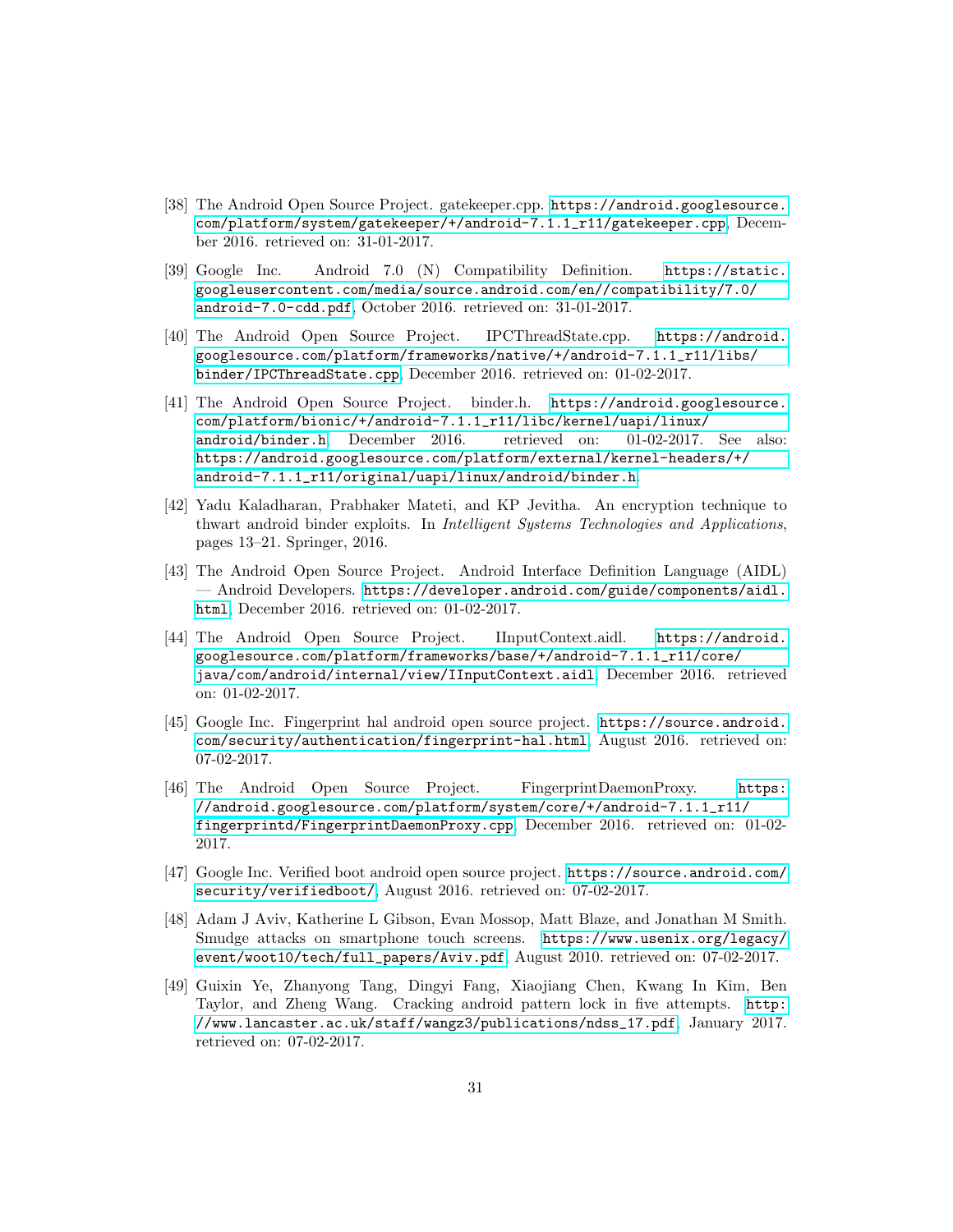- <span id="page-31-0"></span>[38] The Android Open Source Project. gatekeeper.cpp. [https://android.googlesource.](https://android.googlesource.com/platform/system/gatekeeper/+/android-7.1.1_r11/gatekeeper.cpp) [com/platform/system/gatekeeper/+/android-7.1.1\\_r11/gatekeeper.cpp](https://android.googlesource.com/platform/system/gatekeeper/+/android-7.1.1_r11/gatekeeper.cpp), December 2016. retrieved on: 31-01-2017.
- <span id="page-31-1"></span>[39] Google Inc. Android 7.0 (N) Compatibility Definition. [https://static.](https://static.googleusercontent.com/media/source.android.com/en//compatibility/7.0/android-7.0-cdd.pdf) [googleusercontent.com/media/source.android.com/en//compatibility/7.0/](https://static.googleusercontent.com/media/source.android.com/en//compatibility/7.0/android-7.0-cdd.pdf) [android-7.0-cdd.pdf](https://static.googleusercontent.com/media/source.android.com/en//compatibility/7.0/android-7.0-cdd.pdf), October 2016. retrieved on: 31-01-2017.
- <span id="page-31-2"></span>[40] The Android Open Source Project. IPCThreadState.cpp. [https://android.](https://android.googlesource.com/platform/frameworks/native/+/android-7.1.1_r11/libs/binder/IPCThreadState.cpp) [googlesource.com/platform/frameworks/native/+/android-7.1.1\\_r11/libs/](https://android.googlesource.com/platform/frameworks/native/+/android-7.1.1_r11/libs/binder/IPCThreadState.cpp) [binder/IPCThreadState.cpp](https://android.googlesource.com/platform/frameworks/native/+/android-7.1.1_r11/libs/binder/IPCThreadState.cpp), December 2016. retrieved on: 01-02-2017.
- <span id="page-31-3"></span>[41] The Android Open Source Project. binder.h. [https://android.googlesource.](https://android.googlesource.com/platform/bionic/+/android-7.1.1_r11/libc/kernel/uapi/linux/android/binder.h) [com/platform/bionic/+/android-7.1.1\\_r11/libc/kernel/uapi/linux/](https://android.googlesource.com/platform/bionic/+/android-7.1.1_r11/libc/kernel/uapi/linux/android/binder.h) [android/binder.h](https://android.googlesource.com/platform/bionic/+/android-7.1.1_r11/libc/kernel/uapi/linux/android/binder.h), December 2016. retrieved on: 01-02-2017. See also: [https://android.googlesource.com/platform/external/kernel-headers/+/](https://android.googlesource.com/platform/external/kernel-headers/+/android-7.1.1_r11/original/uapi/linux/android/binder.h) [android-7.1.1\\_r11/original/uapi/linux/android/binder.h](https://android.googlesource.com/platform/external/kernel-headers/+/android-7.1.1_r11/original/uapi/linux/android/binder.h).
- <span id="page-31-4"></span>[42] Yadu Kaladharan, Prabhaker Mateti, and KP Jevitha. An encryption technique to thwart android binder exploits. In Intelligent Systems Technologies and Applications, pages 13–21. Springer, 2016.
- <span id="page-31-5"></span>[43] The Android Open Source Project. Android Interface Definition Language (AIDL) — Android Developers. [https://developer.android.com/guide/components/aidl.](https://developer.android.com/guide/components/aidl.html) [html](https://developer.android.com/guide/components/aidl.html), December 2016. retrieved on: 01-02-2017.
- <span id="page-31-6"></span>[44] The Android Open Source Project. IInputContext.aidl. [https://android.](https://android.googlesource.com/platform/frameworks/base/+/android-7.1.1_r11/core/java/com/android/internal/view/IInputContext.aidl) [googlesource.com/platform/frameworks/base/+/android-7.1.1\\_r11/core/](https://android.googlesource.com/platform/frameworks/base/+/android-7.1.1_r11/core/java/com/android/internal/view/IInputContext.aidl) [java/com/android/internal/view/IInputContext.aidl](https://android.googlesource.com/platform/frameworks/base/+/android-7.1.1_r11/core/java/com/android/internal/view/IInputContext.aidl), December 2016. retrieved on: 01-02-2017.
- <span id="page-31-7"></span>[45] Google Inc. Fingerprint hal android open source project. [https://source.android.](https://source.android.com/security/authentication/fingerprint-hal.html) [com/security/authentication/fingerprint-hal.html](https://source.android.com/security/authentication/fingerprint-hal.html), August 2016. retrieved on: 07-02-2017.
- <span id="page-31-8"></span>[46] The Android Open Source Project. FingerprintDaemonProxy. [https:](https://android.googlesource.com/platform/system/core/+/android-7.1.1_r11/fingerprintd/FingerprintDaemonProxy.cpp) [//android.googlesource.com/platform/system/core/+/android-7.1.1\\_r11/](https://android.googlesource.com/platform/system/core/+/android-7.1.1_r11/fingerprintd/FingerprintDaemonProxy.cpp) [fingerprintd/FingerprintDaemonProxy.cpp](https://android.googlesource.com/platform/system/core/+/android-7.1.1_r11/fingerprintd/FingerprintDaemonProxy.cpp), December 2016. retrieved on: 01-02- 2017.
- <span id="page-31-9"></span>[47] Google Inc. Verified boot android open source project. [https://source.android.com/](https://source.android.com/security/verifiedboot/) [security/verifiedboot/](https://source.android.com/security/verifiedboot/), August 2016. retrieved on: 07-02-2017.
- <span id="page-31-10"></span>[48] Adam J Aviv, Katherine L Gibson, Evan Mossop, Matt Blaze, and Jonathan M Smith. Smudge attacks on smartphone touch screens. [https://www.usenix.org/legacy/](https://www.usenix.org/legacy/event/woot10/tech/full_papers/Aviv.pdf) [event/woot10/tech/full\\_papers/Aviv.pdf](https://www.usenix.org/legacy/event/woot10/tech/full_papers/Aviv.pdf), August 2010. retrieved on: 07-02-2017.
- <span id="page-31-11"></span>[49] Guixin Ye, Zhanyong Tang, Dingyi Fang, Xiaojiang Chen, Kwang In Kim, Ben Taylor, and Zheng Wang. Cracking android pattern lock in five attempts. [http:](http://www.lancaster.ac.uk/staff/wangz3/publications/ndss_17.pdf) [//www.lancaster.ac.uk/staff/wangz3/publications/ndss\\_17.pdf](http://www.lancaster.ac.uk/staff/wangz3/publications/ndss_17.pdf), January 2017. retrieved on: 07-02-2017.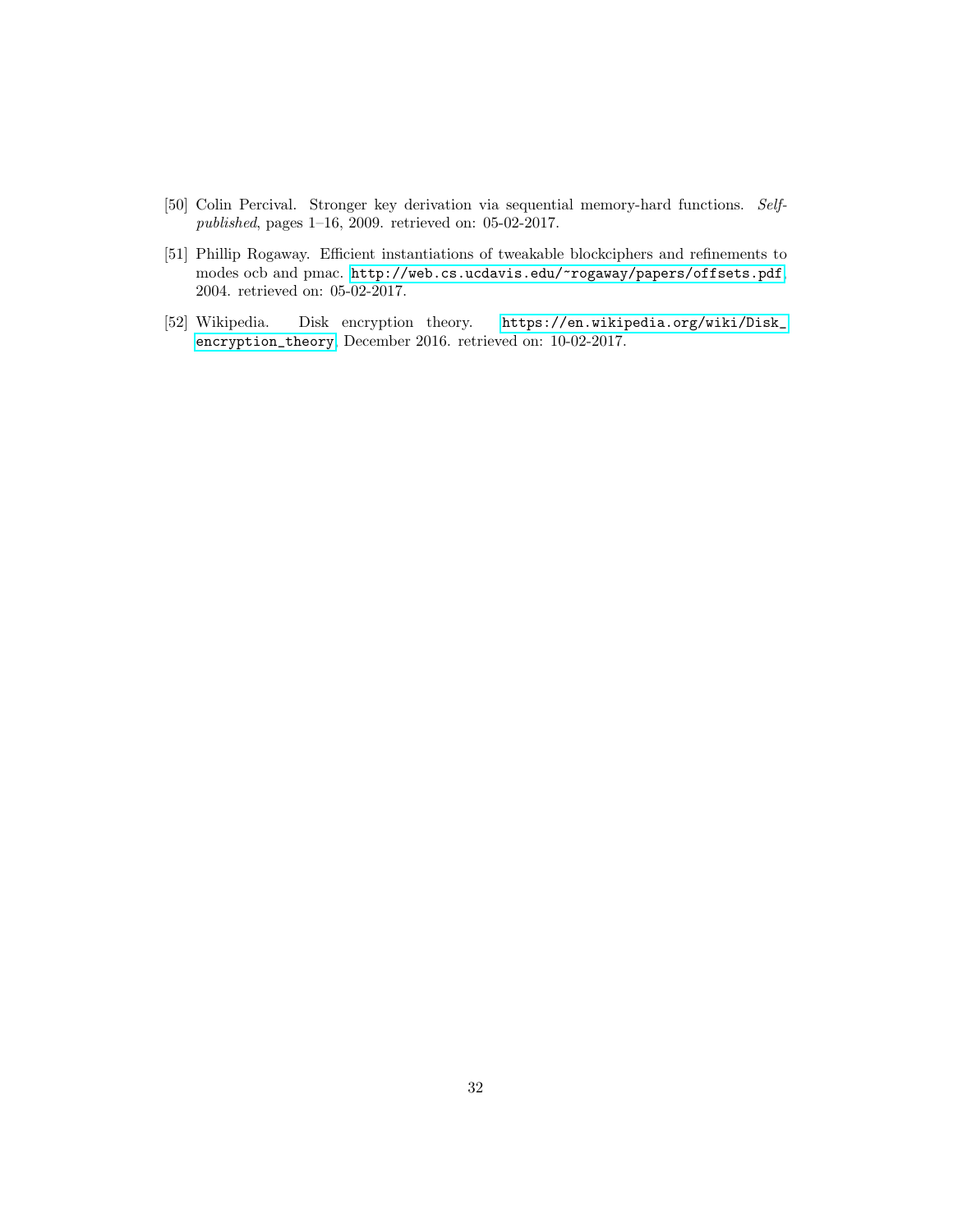- <span id="page-32-0"></span>[50] Colin Percival. Stronger key derivation via sequential memory-hard functions. Selfpublished, pages 1–16, 2009. retrieved on: 05-02-2017.
- <span id="page-32-1"></span>[51] Phillip Rogaway. Efficient instantiations of tweakable blockciphers and refinements to modes ocb and pmac. <http://web.cs.ucdavis.edu/~rogaway/papers/offsets.pdf>, 2004. retrieved on: 05-02-2017.
- <span id="page-32-2"></span>[52] Wikipedia. Disk encryption theory. [https://en.wikipedia.org/wiki/Disk\\_](https://en.wikipedia.org/wiki/Disk_encryption_theory) [encryption\\_theory](https://en.wikipedia.org/wiki/Disk_encryption_theory), December 2016. retrieved on: 10-02-2017.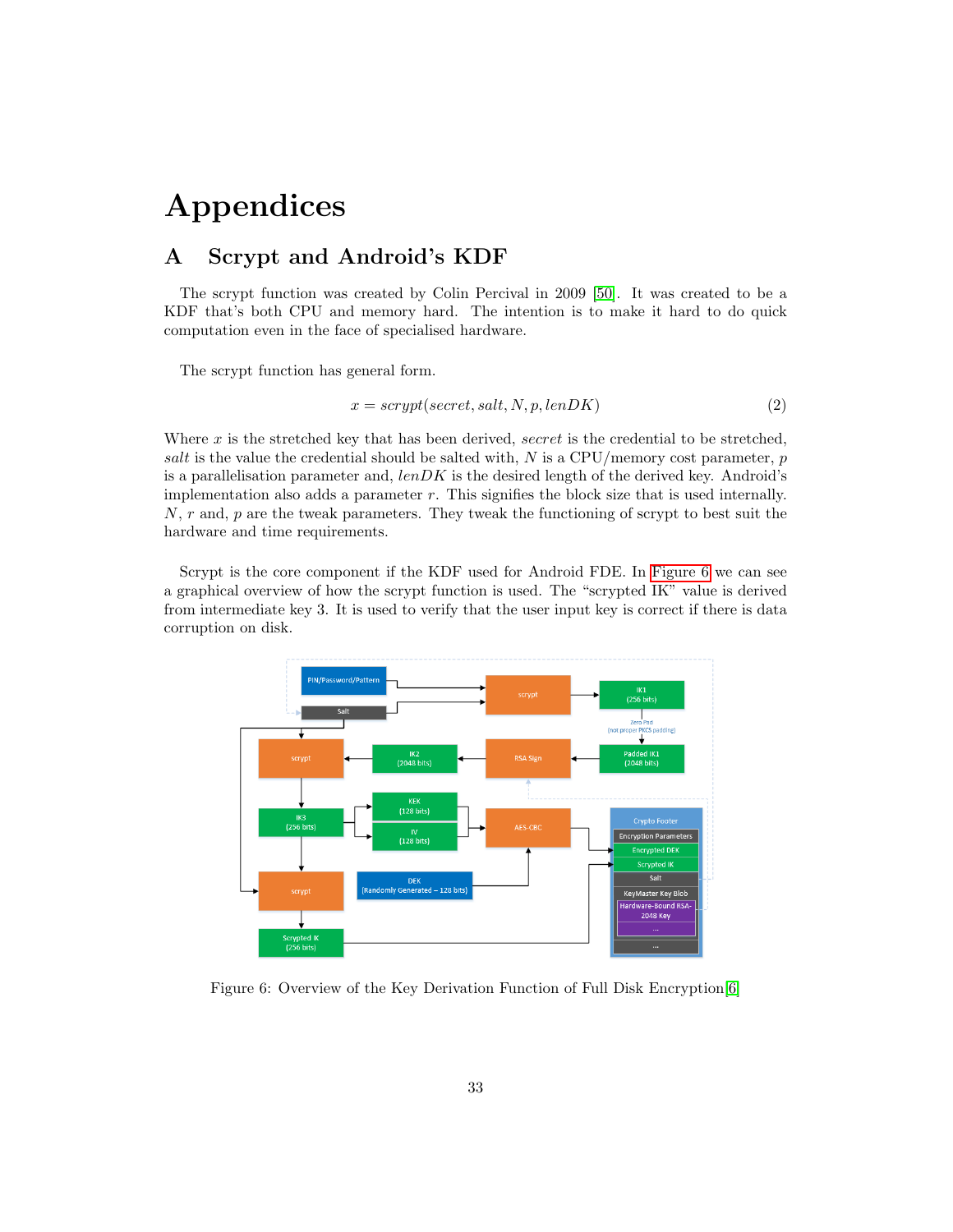# Appendices

## <span id="page-33-1"></span><span id="page-33-0"></span>A Scrypt and Android's KDF

The scrypt function was created by Colin Percival in 2009 [\[50\]](#page-32-0). It was created to be a KDF that's both CPU and memory hard. The intention is to make it hard to do quick computation even in the face of specialised hardware.

The scrypt function has general form.

$$
x = script(secret, salt, N, p, lenDK)
$$
\n<sup>(2)</sup>

Where  $x$  is the stretched key that has been derived, secret is the credential to be stretched, salt is the value the credential should be salted with,  $N$  is a CPU/memory cost parameter,  $p$ is a parallelisation parameter and,  $lenDK$  is the desired length of the derived key. Android's implementation also adds a parameter r. This signifies the block size that is used internally.  $N, r$  and,  $p$  are the tweak parameters. They tweak the functioning of scrypt to best suit the hardware and time requirements.

Scrypt is the core component if the KDF used for Android FDE. In [Figure 6](#page-33-2) we can see a graphical overview of how the scrypt function is used. The "scrypted IK" value is derived from intermediate key 3. It is used to verify that the user input key is correct if there is data corruption on disk.



<span id="page-33-2"></span>Figure 6: Overview of the Key Derivation Function of Full Disk Encryption[\[6\]](#page-28-5)